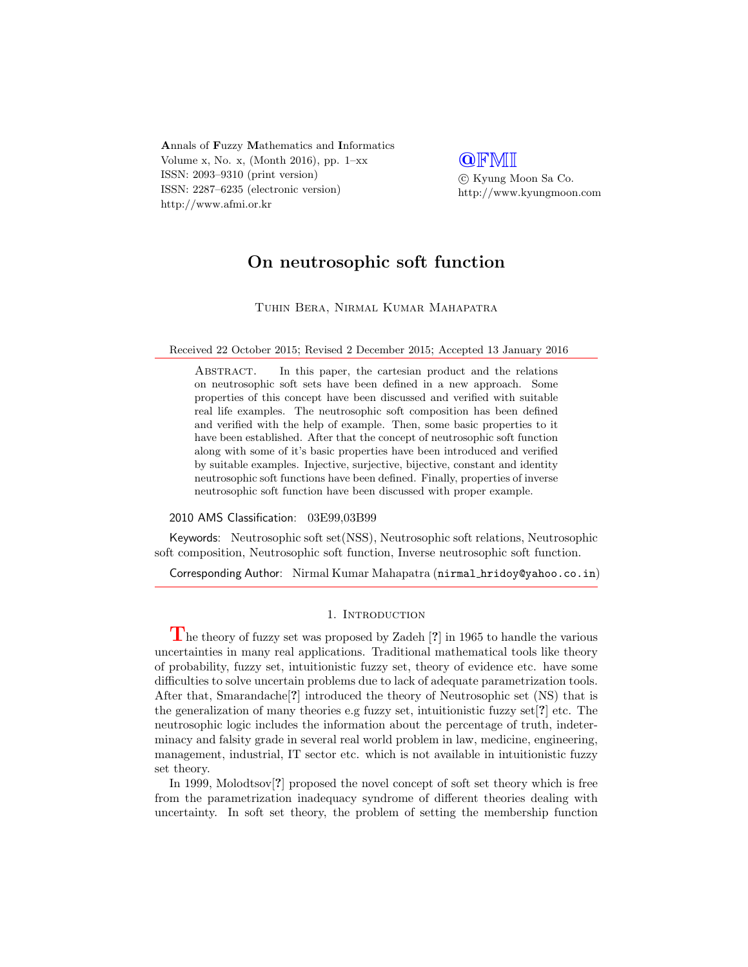Annals of Fuzzy Mathematics and Informatics Volume x, No. x, (Month 2016), pp. 1–xx ISSN: 2093–9310 (print version) ISSN: 2287–6235 (electronic version) http://www.afmi.or.kr

**QFMI**  c Kyung Moon Sa Co. http://www.kyungmoon.com

# On neutrosophic soft function

Tuhin Bera, Nirmal Kumar Mahapatra

Received 22 October 2015; Revised 2 December 2015; Accepted 13 January 2016

Abstract. In this paper, the cartesian product and the relations on neutrosophic soft sets have been defined in a new approach. Some properties of this concept have been discussed and verified with suitable real life examples. The neutrosophic soft composition has been defined and verified with the help of example. Then, some basic properties to it have been established. After that the concept of neutrosophic soft function along with some of it's basic properties have been introduced and verified by suitable examples. Injective, surjective, bijective, constant and identity neutrosophic soft functions have been defined. Finally, properties of inverse neutrosophic soft function have been discussed with proper example.

#### 2010 AMS Classification: 03E99,03B99

Keywords: Neutrosophic soft set(NSS), Neutrosophic soft relations, Neutrosophic soft composition, Neutrosophic soft function, Inverse neutrosophic soft function.

Corresponding Author: Nirmal Kumar Mahapatra (nirmal hridoy@yahoo.co.in)

#### 1. INTRODUCTION

The theory of fuzzy set was proposed by Zadeh [?] in 1965 to handle the various uncertainties in many real applications. Traditional mathematical tools like theory of probability, fuzzy set, intuitionistic fuzzy set, theory of evidence etc. have some difficulties to solve uncertain problems due to lack of adequate parametrization tools. After that, Smarandache[?] introduced the theory of Neutrosophic set (NS) that is the generalization of many theories e.g fuzzy set, intuitionistic fuzzy set[?] etc. The neutrosophic logic includes the information about the percentage of truth, indeterminacy and falsity grade in several real world problem in law, medicine, engineering, management, industrial, IT sector etc. which is not available in intuitionistic fuzzy set theory.

In 1999, Molodtsov[?] proposed the novel concept of soft set theory which is free from the parametrization inadequacy syndrome of different theories dealing with uncertainty. In soft set theory, the problem of setting the membership function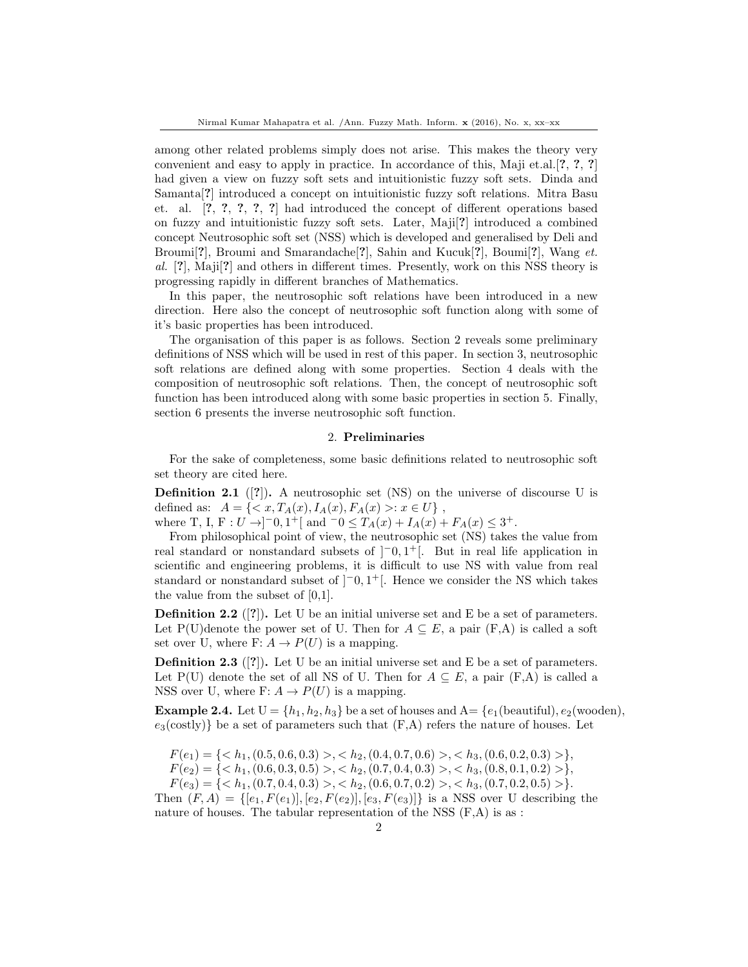among other related problems simply does not arise. This makes the theory very convenient and easy to apply in practice. In accordance of this, Maji et.al.[?, ?, ?] had given a view on fuzzy soft sets and intuitionistic fuzzy soft sets. Dinda and Samanta[?] introduced a concept on intuitionistic fuzzy soft relations. Mitra Basu et. al. [?, ?, ?, ?, ?] had introduced the concept of different operations based on fuzzy and intuitionistic fuzzy soft sets. Later, Maji[?] introduced a combined concept Neutrosophic soft set (NSS) which is developed and generalised by Deli and Broumi<sup>[2]</sup>, Broumi and Smarandache<sup>[2]</sup>, Sahin and Kucuk<sup>[2]</sup>, Boumi<sup>[2]</sup>, Wang et. al. [?], Maji[?] and others in different times. Presently, work on this NSS theory is progressing rapidly in different branches of Mathematics.

In this paper, the neutrosophic soft relations have been introduced in a new direction. Here also the concept of neutrosophic soft function along with some of it's basic properties has been introduced.

The organisation of this paper is as follows. Section 2 reveals some preliminary definitions of NSS which will be used in rest of this paper. In section 3, neutrosophic soft relations are defined along with some properties. Section 4 deals with the composition of neutrosophic soft relations. Then, the concept of neutrosophic soft function has been introduced along with some basic properties in section 5. Finally, section 6 presents the inverse neutrosophic soft function.

## 2. Preliminaries

For the sake of completeness, some basic definitions related to neutrosophic soft set theory are cited here.

**Definition 2.1** ([?]). A neutrosophic set (NS) on the universe of discourse U is defined as:  $A = \{ \langle x, T_A(x), I_A(x), F_A(x) \rangle : x \in U \},$ 

where T, I, F:  $U \rightarrow ]-0,1^+[$  and  $-0 \le T_A(x) + I_A(x) + F_A(x) \le 3^+$ .

From philosophical point of view, the neutrosophic set (NS) takes the value from real standard or nonstandard subsets of  $[-0, 1^+]$ . But in real life application in scientific and engineering problems, it is difficult to use NS with value from real standard or nonstandard subset of  $[-0,1^+]$ . Hence we consider the NS which takes the value from the subset of [0,1].

**Definition 2.2** ([?]). Let U be an initial universe set and E be a set of parameters. Let P(U)denote the power set of U. Then for  $A \subseteq E$ , a pair (F,A) is called a soft set over U, where F:  $A \to P(U)$  is a mapping.

**Definition 2.3** ([?]). Let U be an initial universe set and E be a set of parameters. Let P(U) denote the set of all NS of U. Then for  $A \subseteq E$ , a pair (F,A) is called a NSS over U, where F:  $A \to P(U)$  is a mapping.

**Example 2.4.** Let  $U = \{h_1, h_2, h_3\}$  be a set of houses and  $A = \{e_1(\text{beautiful}), e_2(\text{wooden}),\}$  $e_3$ (costly)} be a set of parameters such that  $(F,A)$  refers the nature of houses. Let

 $F(e_1) = \{ \langle h_1, (0.5, 0.6, 0.3) \rangle, \langle h_2, (0.4, 0.7, 0.6) \rangle, \langle h_3, (0.6, 0.2, 0.3) \rangle \},$ 

 $F(e_2) = \{ \langle h_1, (0.6, 0.3, 0.5) \rangle, \langle h_2, (0.7, 0.4, 0.3) \rangle, \langle h_3, (0.8, 0.1, 0.2) \rangle \},$ 

 $F(e_3) = \{ , , \}.$ 

Then  $(F, A) = \{[e_1, F(e_1)], [e_2, F(e_2)], [e_3, F(e_3)]\}$  is a NSS over U describing the nature of houses. The tabular representation of the NSS  $(F,A)$  is as :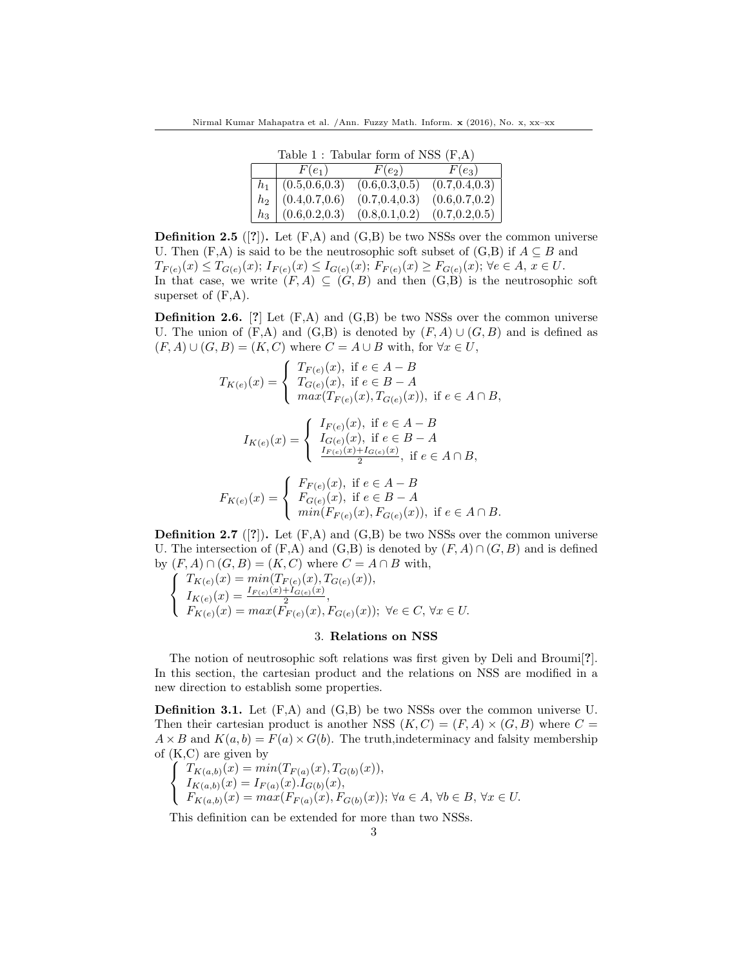Table 1 : Tabular form of NSS (F,A)

|       | $1000 \pm 1$ $1000$ and $101 \pm 100$ |                 |                 |  |  |
|-------|---------------------------------------|-----------------|-----------------|--|--|
|       | $F(e_1)$                              | $F(e_2)$        | $F(e_3)$        |  |  |
|       | $h_1 \mid (0.5, 0.6, 0.3)$            | (0.6, 0.3, 0.5) | (0.7, 0.4, 0.3) |  |  |
|       | $h_2 \mid (0.4, 0.7, 0.6)$            | (0.7, 0.4, 0.3) | (0.6, 0.7, 0.2) |  |  |
| $h_3$ | (0.6, 0.2, 0.3)                       | (0.8, 0.1, 0.2) | (0.7, 0.2, 0.5) |  |  |

**Definition 2.5** ([?]). Let  $(F,A)$  and  $(G,B)$  be two NSSs over the common universe U. Then  $(F,A)$  is said to be the neutrosophic soft subset of  $(G,B)$  if  $A\subseteq B$  and  $T_{F(e)}(x) \leq T_{G(e)}(x);$   $I_{F(e)}(x) \leq I_{G(e)}(x);$   $F_{F(e)}(x) \geq F_{G(e)}(x);$   $\forall e \in A, x \in U$ . In that case, we write  $(F, A) \subseteq (G, B)$  and then  $(G, B)$  is the neutrosophic soft superset of  $(F,A)$ .

**Definition 2.6.** [?] Let  $(F,A)$  and  $(G,B)$  be two NSSs over the common universe U. The union of  $(F,A)$  and  $(G,B)$  is denoted by  $(F,A) \cup (G,B)$  and is defined as  $(F, A) \cup (G, B) = (K, C)$  where  $C = A \cup B$  with, for  $\forall x \in U$ ,

$$
T_{K(e)}(x) = \begin{cases} T_{F(e)}(x), & \text{if } e \in A - B \\ T_{G(e)}(x), & \text{if } e \in B - A \\ \max(T_{F(e)}(x), T_{G(e)}(x)), & \text{if } e \in A \cap B, \end{cases}
$$

$$
I_{K(e)}(x) = \begin{cases} I_{F(e)}(x), \text{ if } e \in A - B \\ I_{G(e)}(x), \text{ if } e \in B - A \\ \frac{I_{F(e)}(x) + I_{G(e)}(x)}{2}, \text{ if } e \in A \cap B, \end{cases}
$$

$$
F_{K(e)}(x) = \begin{cases} F_{F(e)}(x), & \text{if } e \in A - B \\ F_{G(e)}(x), & \text{if } e \in B - A \\ \min(F_{F(e)}(x), F_{G(e)}(x)), & \text{if } e \in A \cap B. \end{cases}
$$

**Definition 2.7** ([?]). Let  $(F,A)$  and  $(G,B)$  be two NSSs over the common universe U. The intersection of  $(F,A)$  and  $(G,B)$  is denoted by  $(F,A) \cap (G,B)$  and is defined by  $(F, A) \cap (G, B) = (K, C)$  where  $C = A \cap B$  with,

$$
\begin{cases}\nT_{K(e)}(x) = \min(T_{F(e)}(x), T_{G(e)}(x)), \\
I_{K(e)}(x) = \frac{I_{F(e)}(x) + I_{G(e)}(x)}{2}, \\
F_{K(e)}(x) = \max(F_{F(e)}(x), F_{G(e)}(x)); \ \forall e \in C, \ \forall x \in U.\n\end{cases}
$$

### 3. Relations on NSS

The notion of neutrosophic soft relations was first given by Deli and Broumi[?]. In this section, the cartesian product and the relations on NSS are modified in a new direction to establish some properties.

**Definition 3.1.** Let  $(F,A)$  and  $(G,B)$  be two NSSs over the common universe U. Then their cartesian product is another NSS  $(K, C) = (F, A) \times (G, B)$  where  $C =$  $A \times B$  and  $K(a, b) = F(a) \times G(b)$ . The truth, indeterminacy and falsity membership of (K,C) are given by

$$
\begin{cases}\nT_{K(a,b)}(x) = \min(T_{F(a)}(x), T_{G(b)}(x)), \\
I_{K(a,b)}(x) = I_{F(a)}(x) \cdot I_{G(b)}(x), \\
F_{K(a,b)}(x) = \max(F_{F(a)}(x), F_{G(b)}(x)); \forall a \in A, \forall b \in B, \forall x \in U.\n\end{cases}
$$

This definition can be extended for more than two NSSs.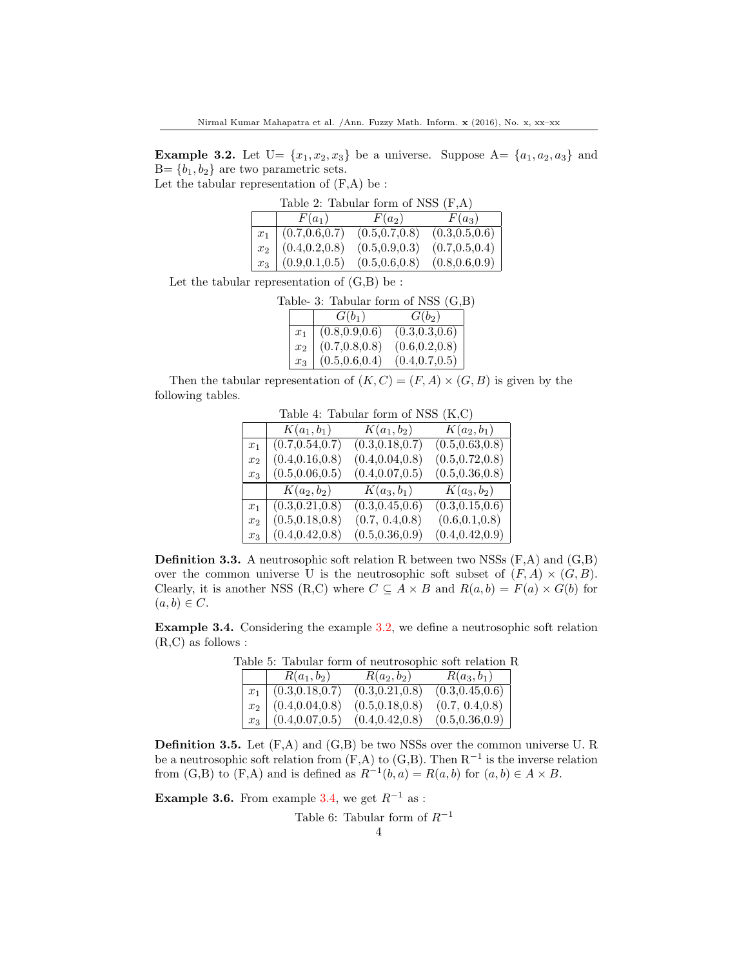**Example 3.2.** Let  $U = \{x_1, x_2, x_3\}$  be a universe. Suppose  $A = \{a_1, a_2, a_3\}$  and  $B = \{b_1, b_2\}$  are two parametric sets.

Let the tabular representation of  $(F,A)$  be :

| Table 2: Tabular form of NSS $(F,A)$ |                            |                   |                 |  |
|--------------------------------------|----------------------------|-------------------|-----------------|--|
|                                      | $F(a_1)$                   | $F(a_2)$ $F(a_3)$ |                 |  |
|                                      | $x_1   (0.7, 0.6, 0.7)$    | (0.5, 0.7, 0.8)   | (0.3, 0.5, 0.6) |  |
|                                      | $x_2 \mid (0.4, 0.2, 0.8)$ | (0.5, 0.9, 0.3)   | (0.7, 0.5, 0.4) |  |
|                                      | $x_3 \mid (0.9, 0.1, 0.5)$ | (0.5, 0.6, 0.8)   | (0.8, 0.6, 0.9) |  |

Let the tabular representation of  $(G,B)$  be :

|                |                                                             | Table- 3: Tabular form of NSS $(G,B)$ |  |
|----------------|-------------------------------------------------------------|---------------------------------------|--|
|                | $G(b_1)$                                                    | $G(b_2)$                              |  |
| $x_1$          | $(0.8, 0.9, 0.6)$<br>$(0.7, 0.8, 0.8)$<br>$(0.5, 0.6, 0.4)$ | (0.3, 0.3, 0.6)                       |  |
| x <sub>2</sub> |                                                             | (0.6, 0.2, 0.8)                       |  |
| $x_3$          |                                                             | (0.4, 0.7, 0.5)                       |  |

Then the tabular representation of  $(K, C) = (F, A) \times (G, B)$  is given by the following tables.

|                | rapic 1. rapami ionii oi 1,00<br>$\lambda$ |                  |                  |  |
|----------------|--------------------------------------------|------------------|------------------|--|
|                | $K(a_1, b_1)$                              | $K(a_1, b_2)$    | $K(a_2, b_1)$    |  |
| $x_1$          | (0.7, 0.54, 0.7)                           | (0.3, 0.18, 0.7) | (0.5, 0.63, 0.8) |  |
| $x_2$          | (0.4, 0.16, 0.8)                           | (0.4, 0.04, 0.8) | (0.5, 0.72, 0.8) |  |
| $x_3$          | (0.5, 0.06, 0.5)                           | (0.4, 0.07, 0.5) | (0.5, 0.36, 0.8) |  |
|                | $K(a_2, b_2)$                              | $K(a_3, b_1)$    | $K(a_3, b_2)$    |  |
| $x_1$          | (0.3, 0.21, 0.8)                           | (0.3, 0.45, 0.6) | (0.3, 0.15, 0.6) |  |
| x <sub>2</sub> | (0.5, 0.18, 0.8)                           | (0.7, 0.4, 0.8)  | (0.6, 0.1, 0.8)  |  |
| $x_3$          | (0.4, 0.42, 0.8)                           | (0.5, 0.36, 0.9) | (0.4, 0.42, 0.9) |  |

Table 4: Tabular form of NSS (K,C)

**Definition 3.3.** A neutrosophic soft relation R between two NSSs  $(F,A)$  and  $(G,B)$ over the common universe U is the neutrosophic soft subset of  $(F, A) \times (G, B)$ . Clearly, it is another NSS (R,C) where  $C \subseteq A \times B$  and  $R(a, b) = F(a) \times G(b)$  for  $(a, b) \in C$ .

Example 3.4. Considering the example 3.2, we define a neutrosophic soft relation (R,C) as follows :

|       |                             |                  | abic o. Tabular form or intutrosophic son relation re |
|-------|-----------------------------|------------------|-------------------------------------------------------|
|       | $R(a_1, b_2)$               | $R(a_2,b_2)$     | $R(a_3, b_1)$                                         |
|       | $x_1 \mid (0.3, 0.18, 0.7)$ | (0.3, 0.21, 0.8) | (0.3, 0.45, 0.6)                                      |
|       | $x_2$ (0.4,0.04,0.8)        | (0.5, 0.18, 0.8) | (0.7, 0.4, 0.8)                                       |
| $x_3$ | (0.4, 0.07, 0.5)            | (0.4, 0.42, 0.8) | (0.5, 0.36, 0.9)                                      |

Table 5: Tabular form of neutrosophic soft relation R

**Definition 3.5.** Let  $(F,A)$  and  $(G,B)$  be two NSSs over the common universe U. R be a neutrosophic soft relation from  $(F, A)$  to  $(G, B)$ . Then  $R^{-1}$  is the inverse relation from  $(G, B)$  to  $(F, A)$  and is defined as  $R^{-1}(b, a) = R(a, b)$  for  $(a, b) \in A \times B$ .

**Example 3.6.** From example 3.4, we get  $R^{-1}$  as :

Table 6: Tabular form of  $R^{-1}$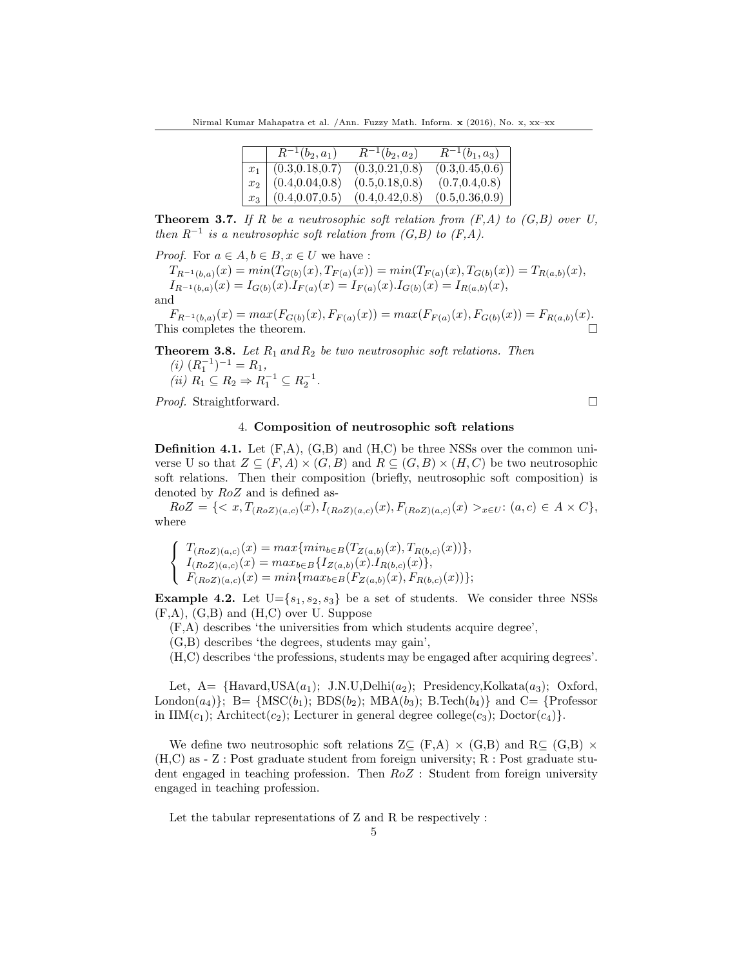Nirmal Kumar Mahapatra et al. /Ann. Fuzzy Math. Inform. x (2016), No. x, xx–xx

| $R^{-1}(b_2,a_1)$           | $R^{-1}(b_2, a_2)$ | $R^{-1}(b_1,a_3)$ |
|-----------------------------|--------------------|-------------------|
| $x_1 \mid (0.3, 0.18, 0.7)$ | (0.3, 0.21, 0.8)   | (0.3, 0.45, 0.6)  |
| $x_2 \mid (0.4, 0.04, 0.8)$ | (0.5, 0.18, 0.8)   | (0.7, 0.4, 0.8)   |
| $x_3 \mid (0.4, 0.07, 0.5)$ | (0.4, 0.42, 0.8)   | (0.5, 0.36, 0.9)  |

**Theorem 3.7.** If R be a neutrosophic soft relation from  $(F,A)$  to  $(G,B)$  over U, then  $R^{-1}$  is a neutrosophic soft relation from  $(G, B)$  to  $(F, A)$ .

*Proof.* For  $a \in A, b \in B, x \in U$  we have :

 $T_{R^{-1}(b,a)}(x) = min(T_{G(b)}(x), T_{F(a)}(x)) = min(T_{F(a)}(x), T_{G(b)}(x)) = T_{R(a,b)}(x),$  $I_{R^{-1}(b,a)}(x) = I_{G(b)}(x) \cdot I_{F(a)}(x) = I_{F(a)}(x) \cdot I_{G(b)}(x) = I_{R(a,b)}(x),$ and

 $F_{R^{-1}(b,a)}(x) = max(F_{G(b)}(x), F_{F(a)}(x)) = max(F_{F(a)}(x), F_{G(b)}(x)) = F_{R(a,b)}(x).$ This completes the theorem.  $\Box$ 

**Theorem 3.8.** Let  $R_1$  and  $R_2$  be two neutrosophic soft relations. Then  $(i)$   $(R_1^{-1})^{-1} = R_1,$ (*ii*)  $R_1 \subseteq R_2 \Rightarrow R_1^{-1} \subseteq R_2^{-1}$ .

*Proof.* Straightforward. □

# 4. Composition of neutrosophic soft relations

**Definition 4.1.** Let  $(F,A)$ ,  $(G,B)$  and  $(H,C)$  be three NSSs over the common universe U so that  $Z \subseteq (F, A) \times (G, B)$  and  $R \subseteq (G, B) \times (H, C)$  be two neutrosophic soft relations. Then their composition (briefly, neutrosophic soft composition) is denoted by RoZ and is defined as-

 $RoZ = \{ \langle x, T_{(RoZ)(a,c)}(x), I_{(RoZ)(a,c)}(x), F_{(RoZ)(a,c)}(x) >_{x \in U}: (a, c) \in A \times C \},\$ where

$$
\left\{\begin{array}{l} T_{(RoZ)(a,c)}(x)=max\{min_{b\in B}(T_{Z(a,b)}(x),T_{R(b,c)}(x))\},\\ I_{(RoZ)(a,c)}(x)=max_{b\in B}\{I_{Z(a,b)}(x).I_{R(b,c)}(x)\},\\ F_{(RoZ)(a,c)}(x)=min\{max_{b\in B}(F_{Z(a,b)}(x),F_{R(b,c)}(x))\}; \end{array}\right.
$$

**Example 4.2.** Let  $U = \{s_1, s_2, s_3\}$  be a set of students. We consider three NSSs (F,A), (G,B) and (H,C) over U. Suppose

(F,A) describes 'the universities from which students acquire degree',

(G,B) describes 'the degrees, students may gain',

(H,C) describes 'the professions, students may be engaged after acquiring degrees'.

Let,  $A = \{\text{Havard,USA}(a_1); J.N.U, Delhi}(a_2);$  Presidency,Kolkata $(a_3);$  Oxford, London(a<sub>4</sub>)}; B= {MSC(b<sub>1</sub>); BDS(b<sub>2</sub>); MBA(b<sub>3</sub>); B.Tech(b<sub>4</sub>)} and C= {Professor in  $\text{IM}(c_1)$ ; Architect(c<sub>2</sub>); Lecturer in general degree college(c<sub>3</sub>); Doctor(c<sub>4</sub>)}.

We define two neutrosophic soft relations  $Z\subseteq$  (F,A)  $\times$  (G,B) and R $\subseteq$  (G,B)  $\times$ (H,C) as - Z : Post graduate student from foreign university; R : Post graduate student engaged in teaching profession. Then  $RoZ$ : Student from foreign university engaged in teaching profession.

Let the tabular representations of Z and R be respectively :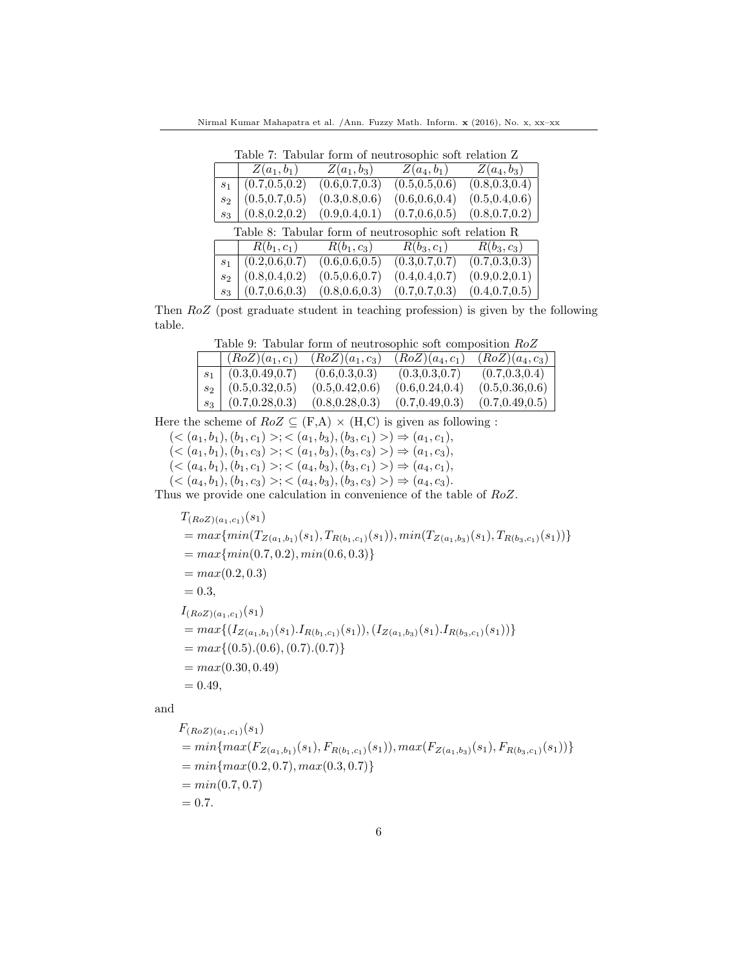Nirmal Kumar Mahapatra et al. /Ann. Fuzzy Math. Inform. x (2016), No. x, xx–xx

Table 7: Tabular form of neutrosophic soft relation Z  $Z(a_1, b_1)$   $Z(a_1, b_3)$   $Z(a_4, b_1)$   $Z(a_4, b_3)$  $\begin{array}{c|ccccc}\n\overline{s_1} & (0.7,0.5,0.2) & (0.6,0.7,0.3) & (0.5,0.5,0.6) & (0.8,0.3,0.4)\n\end{array}$ <br>  $\begin{array}{c|ccccc}\n\overline{s_2} & (0.5,0.7,0.5) & (0.3,0.8,0.6) & (0.6,0.6,0.4) & (0.5,0.4,0.6)\n\end{array}$  $s_2 \begin{bmatrix} 0.5, 0.7, 0.5 \\ 0.8, 0.2, 0.2 \end{bmatrix}$  (0.3,0.8,0.6) (0.6,0.6,0.4)<br>  $s_2 \begin{bmatrix} 0.5, 0.7, 0.5 \\ 0.8, 0.2, 0.2 \end{bmatrix}$  (0.9,0.4,0.1) (0.7,0.6,0.5)

| $s_3$                                                 |                 |                 | $(0.8, 0.2, 0.2)$ $(0.9, 0.4, 0.1)$ $(0.7, 0.6, 0.5)$ $(0.8, 0.7, 0.2)$ |                 |  |
|-------------------------------------------------------|-----------------|-----------------|-------------------------------------------------------------------------|-----------------|--|
| Table 8: Tabular form of neutrosophic soft relation R |                 |                 |                                                                         |                 |  |
|                                                       |                 |                 | $R(b_1, c_1)$ $R(b_1, c_3)$ $R(b_3, c_1)$ $R(b_3, c_3)$                 |                 |  |
| S <sub>1</sub>                                        | (0.2, 0.6, 0.7) | (0.6, 0.6, 0.5) | (0.3, 0.7, 0.7)                                                         | (0.7, 0.3, 0.3) |  |
| $s_2$                                                 | (0.8, 0.4, 0.2) | (0.5, 0.6, 0.7) | (0.4, 0.4, 0.7)                                                         | (0.9, 0.2, 0.1) |  |
| $S_3$                                                 | (0.7, 0.6, 0.3) | (0.8, 0.6, 0.3) | (0.7, 0.7, 0.3)                                                         | (0.4, 0.7, 0.5) |  |

Then RoZ (post graduate student in teaching profession) is given by the following table.

|       | $(RoZ)(a_1, c_1)$    | $(RoZ)(a_1, c_3)$ | $(RoZ)(a_4, c_1)$ | $(RoZ)(a_4, c_3)$ |
|-------|----------------------|-------------------|-------------------|-------------------|
|       | $s_1$ (0.3,0.49,0.7) | (0.6, 0.3, 0.3)   | (0.3, 0.3, 0.7)   | (0.7, 0.3, 0.4)   |
|       | $s_2$ (0.5,0.32,0.5) | (0.5, 0.42, 0.6)  | (0.6, 0.24, 0.4)  | (0.5, 0.36, 0.6)  |
| $s_3$ | (0.7, 0.28, 0.3)     | (0.8, 0.28, 0.3)  | (0.7, 0.49, 0.3)  | (0.7, 0.49, 0.5)  |

Here the scheme of  $RoZ \subseteq (F,A) \times (H,C)$  is given as following :

 $( $(a_1, b_1), (b_1, c_1)$   $>; $(a_1, b_3), (b_3, c_1)$   $>)\Rightarrow$   $(a_1, c_1),$$$  $( $(a_1, b_1), (b_1, c_3) >; < (a_1, b_3), (b_3, c_3) > \Rightarrow (a_1, c_3),$$  $( $(a_4, b_1), (b_1, c_1)$  >;  $$(a_4, b_3), (b_3, c_1)$  >)  $\Rightarrow (a_4, c_1)$ ,$$  $( $(a_4, b_1), (b_1, c_3) >; < (a_4, b_3), (b_3, c_3) > \Rightarrow (a_4, c_3).$$ 

Thus we provide one calculation in convenience of the table of RoZ.

$$
T_{(RoZ)(a_1, c_1)}(s_1)
$$
  
= max{min(T<sub>Z(a\_1,b\_1)</sub>(s\_1), T<sub>R(b\_1,c\_1)</sub>(s\_1)), min(T<sub>Z(a\_1,b\_3)</sub>(s\_1), T<sub>R(b\_3,c\_1)</sub>(s\_1))}  
= max{min(0.7, 0.2), min(0.6, 0.3)}  
= max(0.2, 0.3)  
= 0.3,  

$$
I_{(RoZ)(a_1, c_1)}(s_1)
$$
  
= max{ $(I_{Z(a_1,b_1)}(s_1).I_{R(b_1,c_1)}(s_1)), (I_{Z(a_1,b_3)}(s_1).I_{R(b_3,c_1)}(s_1))$ }  
= max{ $(0.5). (0.6), (0.7). (0.7)$ }  
= max(0.30, 0.49)  
= 0.49,

and

$$
F_{(RoZ)(a_1, c_1)}(s_1)
$$
  
= min{max(F<sub>Z(a\_1,b\_1)</sub>(s\_1), F<sub>R(b\_1,c\_1)</sub>(s\_1)), max(F<sub>Z(a\_1,b\_3)</sub>(s\_1), F<sub>R(b\_3,c\_1)</sub>(s\_1))}  
= min{max(0.2, 0.7), max(0.3, 0.7)}  
= min(0.7, 0.7)  
= 0.7.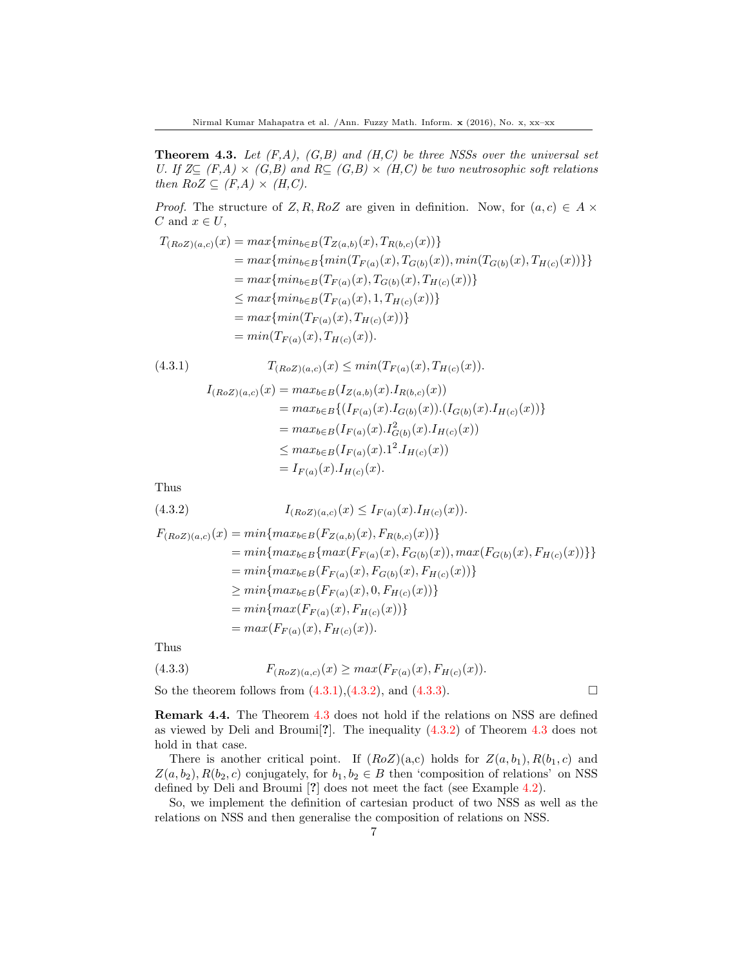**Theorem 4.3.** Let  $(F,A)$ ,  $(G,B)$  and  $(H,C)$  be three NSSs over the universal set U. If  $Z \subseteq (F,A) \times (G,B)$  and  $R \subseteq (G,B) \times (H,C)$  be two neutrosophic soft relations then  $RoZ \subseteq (F,A) \times (H,C)$ .

*Proof.* The structure of Z, R, RoZ are given in definition. Now, for  $(a, c) \in A \times$ C and  $x \in U$ ,

$$
T_{(RoZ)(a,c)}(x) = max\{min_{b \in B} \{T_{Z(a,b)}(x), T_{R(b,c)}(x)\}\}= max\{min_{b \in B} \{min(T_{F(a)}(x), T_{G(b)}(x)), min(T_{G(b)}(x), T_{H(c)}(x))\}\}= max\{min_{b \in B} (T_{F(a)}(x), T_{G(b)}(x), T_{H(c)}(x))\}\le max\{min_{b \in B} (T_{F(a)}(x), T_{H(c)}(x))\}= max\{min(T_{F(a)}(x), T_{H(c)}(x))\}= min(T_{F(a)}(x), T_{H(c)}(x)).
$$

(4.3.1) 
$$
T_{(RoZ)(a,c)}(x) \leq min(T_{F(a)}(x), T_{H(c)}(x)).
$$

$$
I_{(RoZ)(a,c)}(x) = max_{b \in B}(I_{Z(a,b)}(x).I_{R(b,c)}(x))
$$

$$
= max_{b \in B} \{ (I_{F(a)}(x).I_{G(b)}(x)).(I_{G(b)}(x).I_{H(c)}(x)) \}
$$
  
= 
$$
max_{b \in B} \{ I_{F(a)}(x).I_{G(b)}^2(x).I_{H(c)}(x)) \}
$$
  
\$\leq\$ 
$$
max_{b \in B} (I_{F(a)}(x).I_{H(c)}^2(x))
$$
  
= 
$$
I_{F(a)}(x).I_{H(c)}(x).
$$

Thus

(4.3.2) 
$$
I_{(RoZ)(a,c)}(x) \leq I_{F(a)}(x) \cdot I_{H(c)}(x).
$$

$$
F_{(RoZ)(a,c)}(x) = min\{max_{b \in B}(F_{Z(a,b)}(x), F_{R(b,c)}(x))\}
$$
  
=  $min\{max_{b \in B}\{max(F_{F(a)}(x), F_{G(b)}(x)), max(F_{G(b)}(x), F_{H(c)}(x))\}\}$   
=  $min\{max_{b \in B}(F_{F(a)}(x), F_{G(b)}(x), F_{H(c)}(x))\}$   
 $\geq min\{max_{b \in B}(F_{F(a)}(x), 0, F_{H(c)}(x))\}$   
=  $min\{max(F_{F(a)}(x), F_{H(c)}(x))\}$   
=  $max(F_{F(a)}(x), F_{H(c)}(x)).$ 

Thus

(4.3.3) 
$$
F_{(RoZ)(a,c)}(x) \geq max(F_{F(a)}(x), F_{H(c)}(x)).
$$

So the theorem follows from  $(4.3.1), (4.3.2),$  and  $(4.3.3)$ .

Remark 4.4. The Theorem 4.3 does not hold if the relations on NSS are defined as viewed by Deli and Broumi[?]. The inequality (4.3.2) of Theorem 4.3 does not hold in that case.

There is another critical point. If  $(RoZ)(a,c)$  holds for  $Z(a, b_1), R(b_1, c)$  and  $Z(a, b_2), R(b_2, c)$  conjugately, for  $b_1, b_2 \in B$  then 'composition of relations' on NSS defined by Deli and Broumi [?] does not meet the fact (see Example 4.2).

So, we implement the definition of cartesian product of two NSS as well as the relations on NSS and then generalise the composition of relations on NSS.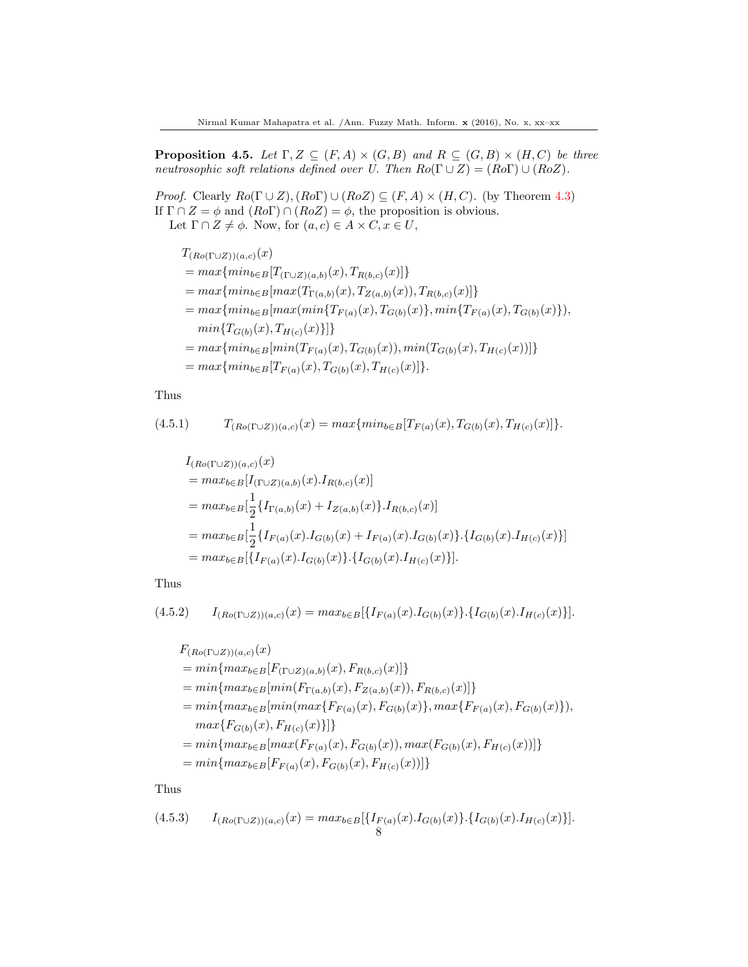**Proposition 4.5.** Let  $\Gamma, Z \subseteq (F, A) \times (G, B)$  and  $R \subseteq (G, B) \times (H, C)$  be three neutrosophic soft relations defined over U. Then  $Ro(\Gamma \cup Z) = (Ro\Gamma) \cup (Ro\Z)$ .

*Proof.* Clearly  $Ro(\Gamma \cup Z), (Ro\Gamma) \cup (RoZ) \subseteq (F, A) \times (H, C)$ . (by Theorem 4.3) If  $\Gamma \cap Z = \phi$  and  $(Ro\Gamma) \cap (RoZ) = \phi$ , the proposition is obvious. Let  $\Gamma \cap Z \neq \phi$ . Now, for  $(a, c) \in A \times C, x \in U$ ,

$$
T_{(Ro(\Gamma \cup Z))(a,c)}(x)
$$
  
=  $max\{min_{b \in B} [T_{(\Gamma \cup Z)(a,b)}(x), T_{R(b,c)}(x)]\}$   
=  $max\{min_{b \in B} [max(T_{\Gamma(a,b)}(x), T_{Z(a,b)}(x)), T_{R(b,c)}(x)]\}$   
=  $max\{min_{b \in B} [max(min\{T_{F(a)}(x), T_{G(b)}(x)\}, min\{T_{F(a)}(x), T_{G(b)}(x)\}),$   
 $min\{T_{G(b)}(x), T_{H(c)}(x)\}]\}$   
=  $max\{min_{b \in B} [min(T_{F(a)}(x), T_{G(b)}(x)), min(T_{G(b)}(x), T_{H(c)}(x))]\}$   
=  $max\{min_{b \in B} [T_{F(a)}(x), T_{G(b)}(x), T_{H(c)}(x)]\}.$ 

Thus

$$
(4.5.1) \tT(Ro( \Gamma \cup Z))(a,c)(x) = max \{ min_{b \in B} [TF(a)(x), TG(b)(x), TH(c)(x)] \}.
$$

$$
I_{(Ro(\Gamma \cup Z))(a,c)}(x)
$$
  
=  $max_{b \in B}[I_{(\Gamma \cup Z)(a,b)}(x) \cdot I_{R(b,c)}(x)]$   
=  $max_{b \in B}[\frac{1}{2}\lbrace I_{\Gamma(a,b)}(x) + I_{Z(a,b)}(x) \rbrace \cdot I_{R(b,c)}(x)]$   
=  $max_{b \in B}[\frac{1}{2}\lbrace I_{F(a)}(x) \cdot I_{G(b)}(x) + I_{F(a)}(x) \cdot I_{G(b)}(x) \rbrace \cdot \lbrace I_{G(b)}(x) \cdot I_{H(c)}(x) \rbrace]$   
=  $max_{b \in B}[\lbrace I_{F(a)}(x) \cdot I_{G(b)}(x) \rbrace \cdot \lbrace I_{G(b)}(x) \cdot I_{H(c)}(x) \rbrace].$ 

Thus

$$
(4.5.2) \qquad I_{(Ro(\Gamma \cup Z))(a,c)}(x) = max_{b \in B} [\{I_{F(a)}(x).I_{G(b)}(x)\}.\{I_{G(b)}(x).I_{H(c)}(x)\}].
$$

$$
F_{(Ro(\Gamma \cup Z))(a,c)}(x)
$$
  
= min{max<sub>b∈B</sub>[ $F_{(\Gamma \cup Z)(a,b)}(x)$ ,  $F_{R(b,c)}(x)$ ]}  
= min{max<sub>b∈B</sub>[min( $F_{\Gamma(a,b)}(x)$ ,  $F_{Z(a,b)}(x)$ ),  $F_{R(b,c)}(x)$ ]}  
= min{max<sub>b∈B</sub>[min(max{ $F_{F(a)}(x)$ ,  $F_{G(b)}(x)$ }, max{ $F_{F(a)}(x)$ ,  $F_{G(b)}(x)$ }),  
max{ $F_{G(b)}(x)$ ,  $F_{H(c)}(x)$ ]}  
= min{max<sub>b∈B</sub>[max( $F_{F(a)}(x)$ ,  $F_{G(b)}(x)$ ), max( $F_{G(b)}(x)$ ,  $F_{H(c)}(x)$ )]}  
= min{max<sub>b∈B</sub>[ $F_{F(a)}(x)$ ,  $F_{G(b)}(x)$ ,  $F_{H(c)}(x)$ )]}

Thus

$$
(4.5.3) \qquad I_{(Ro(\Gamma \cup Z))(a,c)}(x) = max_{b \in B} [\{I_{F(a)}(x).I_{G(b)}(x)\}.\{I_{G(b)}(x).I_{H(c)}(x)\}].
$$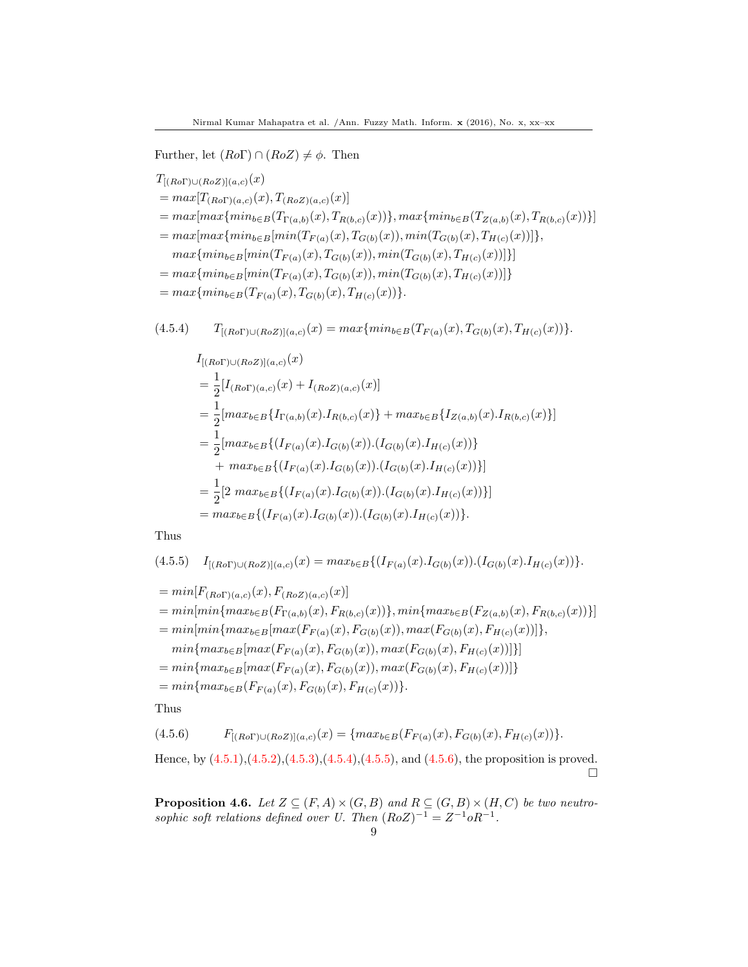Further, let  $(Ro\Gamma) \cap (RoZ) \neq \phi$ . Then

$$
T_{[(Ro\Gamma)\cup(Ro\Gamma)(a,c)}(x)
$$
  
=  $max[T_{(Ro\Gamma)(a,c)}(x), T_{(Ro\Gamma)(a,c)}(x)]$   
=  $max[max\{min_{b \in B}(T_{\Gamma(a,b)}(x), T_{R(b,c)}(x))\}, max\{min_{b \in B}(T_{Z(a,b)}(x), T_{R(b,c)}(x))\}]$   
=  $max[max\{min_{b \in B}[min(T_{F(a)}(x), T_{G(b)}(x)), min(T_{G(b)}(x), T_{H(c)}(x))]\},$   
 $max\{min_{b \in B}[min(T_{F(a)}(x), T_{G(b)}(x)), min(T_{G(b)}(x), T_{H(c)}(x))]\}]$   
=  $max\{min_{b \in B}[min(T_{F(a)}(x), T_{G(b)}(x)), min(T_{G(b)}(x), T_{H(c)}(x))]\}$   
=  $max\{min_{b \in B}(T_{F(a)}(x), T_{G(b)}(x), T_{H(c)}(x))\}.$ 

$$
(4.5.4) \tT_{[(Ro\Gamma) \cup (RoZ)](a,c)}(x) = max\{min_{b \in B}(T_{F(a)}(x), T_{G(b)}(x), T_{H(c)}(x))\}.
$$

$$
I_{[(Ro\Gamma)\cup(RoZ)](a,c)}(x)
$$
  
\n
$$
= \frac{1}{2}[I_{(Ro\Gamma)(a,c)}(x) + I_{(RoZ)(a,c)}(x)]
$$
  
\n
$$
= \frac{1}{2}[max_{b \in B} \{I_{\Gamma(a,b)}(x) \cdot I_{R(b,c)}(x)\} + max_{b \in B} \{I_{Z(a,b)}(x) \cdot I_{R(b,c)}(x)\}]
$$
  
\n
$$
= \frac{1}{2}[max_{b \in B} \{ (I_{F(a)}(x) \cdot I_{G(b)}(x)) \cdot (I_{G(b)}(x) \cdot I_{H(c)}(x)) \}
$$
  
\n
$$
+ max_{b \in B} \{ (I_{F(a)}(x) \cdot I_{G(b)}(x)) \cdot (I_{G(b)}(x) \cdot I_{H(c)}(x)) \}]
$$
  
\n
$$
= \frac{1}{2}[2 max_{b \in B} \{ (I_{F(a)}(x) \cdot I_{G(b)}(x)) \cdot (I_{G(b)}(x) \cdot I_{H(c)}(x)) \}]
$$
  
\n
$$
= max_{b \in B} \{ (I_{F(a)}(x) \cdot I_{G(b)}(x)) \cdot (I_{G(b)}(x) \cdot I_{H(c)}(x)) \}.
$$

Thus

$$
(4.5.5) \quad I_{[(Ro\Gamma) \cup (RoZ)](a,c)}(x) = max_{b \in B} \{ (I_{F(a)}(x).I_{G(b)}(x)).(I_{G(b)}(x).I_{H(c)}(x)) \}.
$$

$$
= min[F_{(Ro\Gamma)(a,c)}(x), F_{(RoZ)(a,c)}(x)]
$$
  
\n
$$
= min[min\{max_{b \in B}(F_{\Gamma(a,b)}(x), F_{R(b,c)}(x))\}, min\{max_{b \in B}(F_{Z(a,b)}(x), F_{R(b,c)}(x))\}]
$$
  
\n
$$
= min[min\{max_{b \in B}[max(F_{F(a)}(x), F_{G(b)}(x)), max(F_{G(b)}(x), F_{H(c)}(x))]\},
$$
  
\n
$$
min\{max_{b \in B}[max(F_{F(a)}(x), F_{G(b)}(x)), max(F_{G(b)}(x), F_{H(c)}(x))]\}]
$$
  
\n
$$
= min\{max_{b \in B}[max(F_{F(a)}(x), F_{G(b)}(x)), max(F_{G(b)}(x), F_{H(c)}(x))]\}
$$
  
\n
$$
= min\{max_{b \in B}(F_{F(a)}(x), F_{G(b)}(x), F_{H(c)}(x))\}.
$$

Thus

$$
(4.5.6) \tF_{[(Ro\Gamma) \cup (RoZ)](a,c)}(x) = \{ max_{b \in B}(F_{F(a)}(x), F_{G(b)}(x), F_{H(c)}(x)) \}.
$$

Hence, by (4.5.1),(4.5.2),(4.5.3),(4.5.4),(4.5.5), and (4.5.6), the proposition is proved.  $\Box$ 

**Proposition 4.6.** Let  $Z \subseteq (F, A) \times (G, B)$  and  $R \subseteq (G, B) \times (H, C)$  be two neutrosophic soft relations defined over U. Then  $(RoZ)^{-1} = Z^{-1}oR^{-1}$ .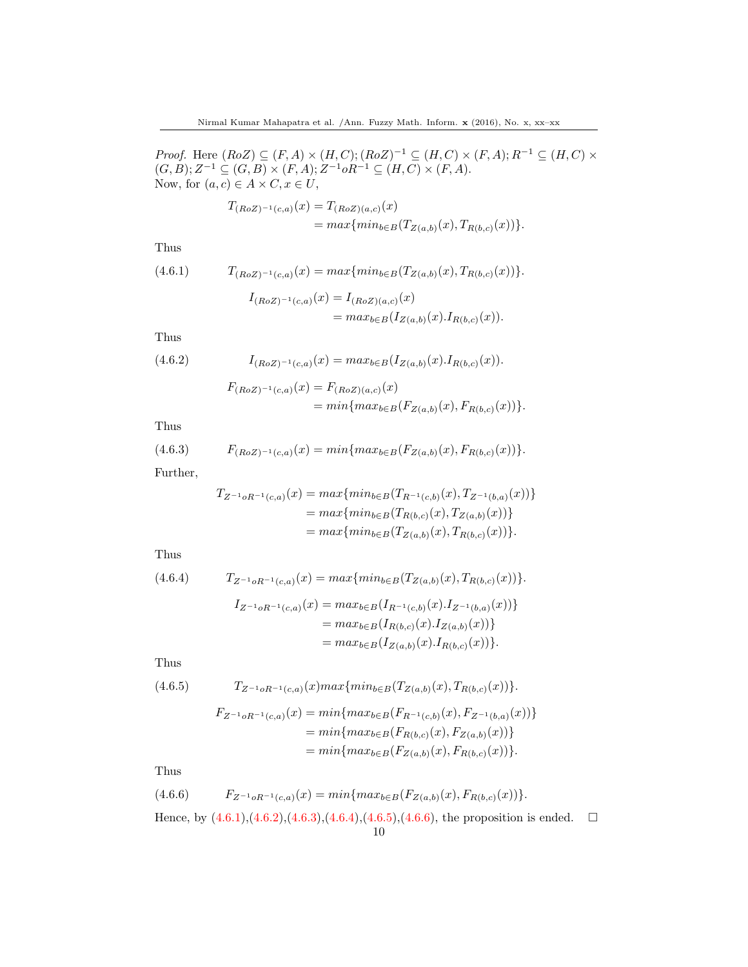*Proof.* Here  $(RoZ) \subseteq (F, A) \times (H, C); (RoZ)^{-1} \subseteq (H, C) \times (F, A); R^{-1} \subseteq (H, C) \times$  $(G, B); Z^{-1} \subseteq (G, B) \times (F, A); Z^{-1} \circ R^{-1} \subseteq (H, C) \times (F, A).$ Now, for  $(a, c) \in A \times C$ ,  $x \in U$ ,

$$
T_{(RoZ)^{-1}(c,a)}(x) = T_{(RoZ)(a,c)}(x)
$$
  
= 
$$
max\{min_{b \in B}(T_{Z(a,b)}(x), T_{R(b,c)}(x))\}.
$$

Thus

(4.6.1) 
$$
T_{(RoZ)^{-1}(c,a)}(x) = max\{min_{b \in B}(T_{Z(a,b)}(x), T_{R(b,c)}(x))\}.
$$

$$
I_{(RoZ)^{-1}(c,a)}(x) = I_{(RoZ)(a,c)}(x)
$$
  
= 
$$
max_{b \in B} (I_{Z(a,b)}(x) \cdot I_{R(b,c)}(x)).
$$

Thus

(4.6.2) 
$$
I_{(RoZ)^{-1}(c,a)}(x) = max_{b \in B} (I_{Z(a,b)}(x) . I_{R(b,c)}(x)).
$$

$$
F_{(RoZ)^{-1}(c,a)}(x) = F_{(RoZ)(a,c)}(x)
$$

$$
= min\{max_{b \in B}(F_{Z(a,b)}(x), F_{R(b,c)}(x))\}.
$$

Thus

$$
(4.6.3) \tF_{(RoZ)^{-1}(c,a)}(x) = min\{max_{b \in B}(F_{Z(a,b)}(x), F_{R(b,c)}(x))\}.
$$

Further,

$$
T_{Z^{-1} \circ R^{-1}(c,a)}(x) = \max \{ \min_{b \in B} (T_{R^{-1}(c,b)}(x), T_{Z^{-1}(b,a)}(x)) \}
$$
  
= 
$$
\max \{ \min_{b \in B} (T_{R(b,c)}(x), T_{Z(a,b)}(x)) \}
$$
  
= 
$$
\max \{ \min_{b \in B} (T_{Z(a,b)}(x), T_{R(b,c)}(x)) \}.
$$

Thus

$$
(4.6.4) \tT_{Z^{-1}oR^{-1}(c,a)}(x) = max\{min_{b \in B}(T_{Z(a,b)}(x), T_{R(b,c)}(x))\}.
$$
  

$$
I_{Z^{-1}oR^{-1}(c,a)}(x) = max_{b \in B}(I_{R^{-1}(c,b)}(x).I_{Z^{-1}(b,a)}(x))\}
$$
  

$$
= max_{b \in B}(I_{R(b,c)}(x).I_{Z(a,b)}(x))\}
$$
  

$$
= max_{b \in B}(I_{Z(a,b)}(x).I_{R(b,c)}(x))\}.
$$

Thus

(4.6.5) 
$$
T_{Z^{-1} \circ R^{-1}(c,a)}(x) max \{ min_{b \in B} (T_{Z(a,b)}(x), T_{R(b,c)}(x)) \}.
$$

$$
F_{Z^{-1} \circ R^{-1}(c,a)}(x) = \min\{\max_{b \in B} (F_{R^{-1}(c,b)}(x), F_{Z^{-1}(b,a)}(x))\}
$$
  
= 
$$
\min\{\max_{b \in B} (F_{R(b,c)}(x), F_{Z(a,b)}(x))\}
$$
  
= 
$$
\min\{\max_{b \in B} (F_{Z(a,b)}(x), F_{R(b,c)}(x))\}.
$$

Thus

$$
(4.6.6) \tF_{Z^{-1}oR^{-1}(c,a)}(x) = min\{max_{b \in B}(F_{Z(a,b)}(x), F_{R(b,c)}(x))\}.
$$

Hence, by  $(4.6.1), (4.6.2), (4.6.3), (4.6.4), (4.6.5), (4.6.6),$  the proposition is ended.  $\square$ 10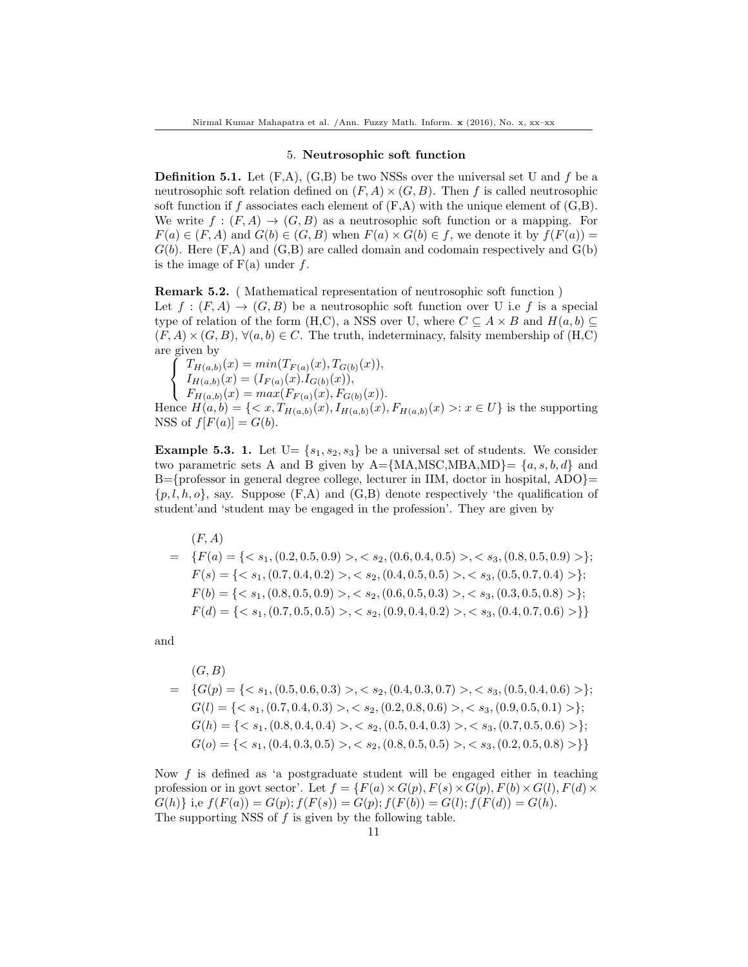## 5. Neutrosophic soft function

**Definition 5.1.** Let  $(F,A)$ ,  $(G,B)$  be two NSSs over the universal set U and f be a neutrosophic soft relation defined on  $(F, A) \times (G, B)$ . Then f is called neutrosophic soft function if f associates each element of  $(F,A)$  with the unique element of  $(G,B)$ . We write  $f:(F,A)\to (G,B)$  as a neutrosophic soft function or a mapping. For  $F(a) \in (F, A)$  and  $G(b) \in (G, B)$  when  $F(a) \times G(b) \in f$ , we denote it by  $f(F(a)) =$  $G(b)$ . Here  $(F,A)$  and  $(G,B)$  are called domain and codomain respectively and  $G(b)$ is the image of  $F(a)$  under f.

Remark 5.2. ( Mathematical representation of neutrosophic soft function ) Let  $f : (F, A) \to (G, B)$  be a neutrosophic soft function over U i.e f is a special type of relation of the form (H,C), a NSS over U, where  $C \subseteq A \times B$  and  $H(a, b) \subseteq$  $(F, A) \times (G, B), \forall (a, b) \in C.$  The truth, indeterminacy, falsity membership of  $(H, C)$ are given by

 $\sqrt{ }$ J  $\mathcal{L}$  $T_{H(a,b)}(x) = min(T_{F(a)}(x), T_{G(b)}(x)),$  $I_{H(a,b)}(x) = (I_{F(a)}(x) \cdot I_{G(b)}(x)),$  $F_{H(a,b)}(x) = max(F_{F(a)}(x), F_{G(b)}(x)).$ Hence  $H(a, b) = \{ \langle x, T_{H(a, b)}(x), I_{H(a, b)}(x), F_{H(a, b)}(x) \rangle : x \in U \}$  is the supporting NSS of  $f[F(a)] = G(b)$ .

**Example 5.3. 1.** Let  $U = \{s_1, s_2, s_3\}$  be a universal set of students. We consider two parametric sets A and B given by  $A = \{MA, \text{MSC}, \text{MBA}, \text{MD}\} = \{a, s, b, d\}$  and  $B=\{$ professor in general degree college, lecturer in IIM, doctor in hospital, ADO}=  $\{p, l, h, o\}$ , say. Suppose  $(F, A)$  and  $(G, B)$  denote respectively 'the qualification of student'and 'student may be engaged in the profession'. They are given by

$$
(F, A)
$$
  
=  $\{F(a) = \{ \langle s_1, (0.2, 0.5, 0.9) \rangle, \langle s_2, (0.6, 0.4, 0.5) \rangle, \langle s_3, (0.8, 0.5, 0.9) \rangle \};$   
 $F(s) = \{ \langle s_1, (0.7, 0.4, 0.2) \rangle, \langle s_2, (0.4, 0.5, 0.5) \rangle, \langle s_3, (0.5, 0.7, 0.4) \rangle \};$   
 $F(b) = \{ \langle s_1, (0.8, 0.5, 0.9) \rangle, \langle s_2, (0.6, 0.5, 0.3) \rangle, \langle s_3, (0.3, 0.5, 0.8) \rangle \};$   
 $F(d) = \{ \langle s_1, (0.7, 0.5, 0.5) \rangle, \langle s_2, (0.9, 0.4, 0.2) \rangle, \langle s_3, (0.4, 0.7, 0.6) \rangle \} \}$ 

and

$$
(G, B)
$$
\n
$$
= \{G(p) = \{< s_1, (0.5, 0.6, 0.3) > , < s_2, (0.4, 0.3, 0.7) > , < s_3, (0.5, 0.4, 0.6) > \};\
$$
\n
$$
G(l) = \{< s_1, (0.7, 0.4, 0.3) > , < s_2, (0.2, 0.8, 0.6) > , < s_3, (0.9, 0.5, 0.1) > \};\
$$
\n
$$
G(h) = \{< s_1, (0.8, 0.4, 0.4) > , < s_2, (0.5, 0.4, 0.3) > , < s_3, (0.7, 0.5, 0.6) > \};\
$$
\n
$$
G(o) = \{< s_1, (0.4, 0.3, 0.5) > , < s_2, (0.8, 0.5, 0.5) > , < s_3, (0.2, 0.5, 0.8) > \}\}
$$

Now  $f$  is defined as 'a postgraduate student will be engaged either in teaching profession or in govt sector'. Let  $f = \{F(a) \times G(p), F(s) \times G(p), F(b) \times G(l), F(d) \times G(l)\}$  $G(h)$ } i,e  $f(F(a)) = G(p)$ ;  $f(F(s)) = G(p)$ ;  $f(F(b)) = G(l)$ ;  $f(F(d)) = G(h)$ . The supporting NSS of  $f$  is given by the following table.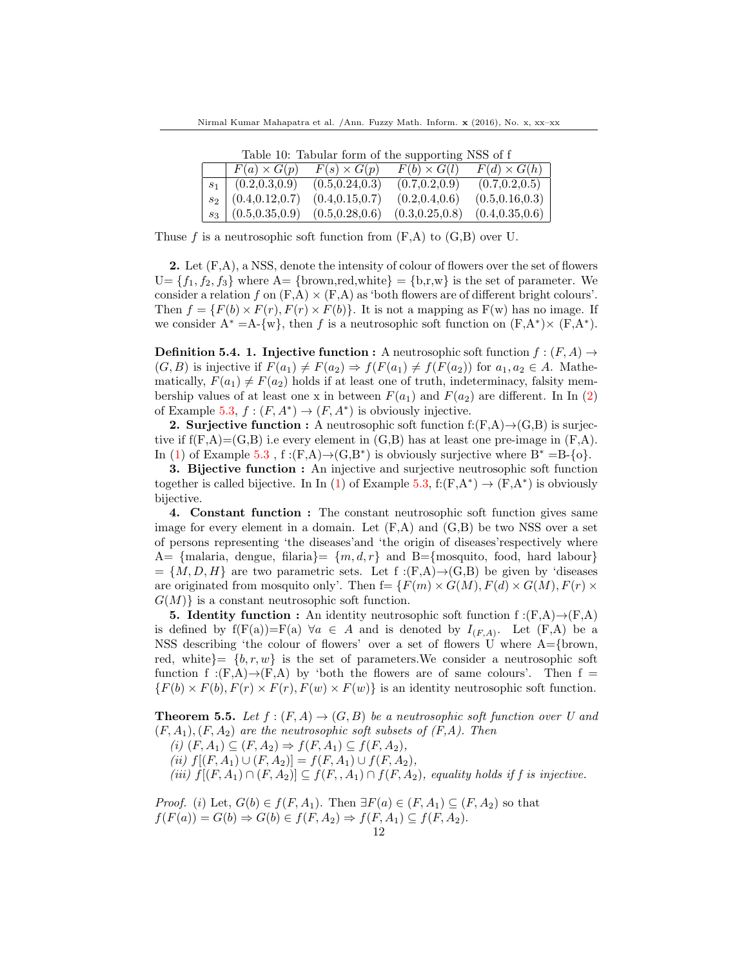| Table 10: Tabular form of the supporting NSS of f |                    |                    |                    |  |
|---------------------------------------------------|--------------------|--------------------|--------------------|--|
| $F(a) \times G(p)$                                | $F(s) \times G(p)$ | $F(b) \times G(l)$ | $F(d) \times G(h)$ |  |
| $s_1$ (0.2,0.3,0.9)                               | (0.5, 0.24, 0.3)   | (0.7, 0.2, 0.9)    | (0.7, 0.2, 0.5)    |  |
| $s_2$   $(0.4, 0.12, 0.7)$                        | (0.4, 0.15, 0.7)   | (0.2, 0.4, 0.6)    | (0.5, 0.16, 0.3)   |  |
| $s_3 \mid (0.5, 0.35, 0.9)$                       | (0.5, 0.28, 0.6)   | (0.3, 0.25, 0.8)   | (0.4, 0.35, 0.6)   |  |

Table 10: Tabular form of the supporting NSS of f

Thuse f is a neutrosophic soft function from  $(F,A)$  to  $(G,B)$  over U.

**2.** Let  $(F,A)$ , a NSS, denote the intensity of colour of flowers over the set of flowers  $U = \{f_1, f_2, f_3\}$  where  $A = \{brown, red, white\} = \{b,r,w\}$  is the set of parameter. We consider a relation f on  $(F, A) \times (F, A)$  as 'both flowers are of different bright colours'. Then  $f = \{F(b) \times F(r), F(r) \times F(b)\}\.$  It is not a mapping as  $F(w)$  has no image. If we consider  $A^* = A - \{w\}$ , then f is a neutrosophic soft function on  $(F, A^*) \times (F, A^*)$ .

**Definition 5.4. 1. Injective function :** A neutrosophic soft function  $f : (F, A) \rightarrow$  $(G, B)$  is injective if  $F(a_1) \neq F(a_2) \Rightarrow f(F(a_1) \neq f(F(a_2))$  for  $a_1, a_2 \in A$ . Mathematically,  $F(a_1) \neq F(a_2)$  holds if at least one of truth, indeterminacy, falsity membership values of at least one x in between  $F(a_1)$  and  $F(a_2)$  are different. In In (2) of Example 5.3,  $f:(F, A^*) \to (F, A^*)$  is obviously injective.

**2. Surjective function :** A neutrosophic soft function  $f:(F,A) \rightarrow (G,B)$  is surjective if  $f(F,A)=(G,B)$  i.e every element in  $(G,B)$  has at least one pre-image in  $(F,A)$ . In (1) of Example 5.3, f:(F,A) $\rightarrow$ (G,B<sup>\*</sup>) is obviously surjective where B<sup>\*</sup> =B-{o}.

3. Bijective function : An injective and surjective neutrosophic soft function together is called bijective. In In (1) of Example 5.3, f:(F,A\*)  $\rightarrow$  (F,A\*) is obviously bijective.

4. Constant function : The constant neutrosophic soft function gives same image for every element in a domain. Let  $(F, A)$  and  $(G, B)$  be two NSS over a set of persons representing 'the diseases'and 'the origin of diseases'respectively where A= {malaria, dengue, filaria}=  $\{m, d, r\}$  and B={mosquito, food, hard labour}  $= \{M, D, H\}$  are two parametric sets. Let f :(F,A) $\rightarrow$ (G,B) be given by 'diseases are originated from mosquito only'. Then  $f = \{F(m) \times G(M), F(d) \times G(M), F(r) \times$  $G(M)$  is a constant neutrosophic soft function.

**5. Identity function :** An identity neutrosophic soft function  $f:(F,A)\rightarrow (F,A)$ is defined by  $f(F(a))=F(a) \forall a \in A$  and is denoted by  $I_{(F,A)}$ . Let  $(F,A)$  be a NSS describing 'the colour of flowers' over a set of flowers U where A={brown, red, white}=  $\{b, r, w\}$  is the set of parameters. We consider a neutrosophic soft function f :(F,A) $\rightarrow$ (F,A) by 'both the flowers are of same colours'. Then f =  ${F(b) \times F(b), F(r) \times F(r), F(w) \times F(w)}$  is an identity neutrosophic soft function.

**Theorem 5.5.** Let  $f:(F,A)\to (G,B)$  be a neutrosophic soft function over U and  $(F, A_1), (F, A_2)$  are the neutrosophic soft subsets of  $(F, A)$ . Then (i)  $(F, A_1) \subseteq (F, A_2) \Rightarrow f(F, A_1) \subseteq f(F, A_2),$ (ii)  $f[(F, A_1) \cup (F, A_2)] = f(F, A_1) \cup f(F, A_2),$ (iii)  $f[(F, A_1) \cap (F, A_2)] \subseteq f(F, A_1) \cap f(F, A_2)$ , equality holds if f is injective.

*Proof.* (i) Let,  $G(b) \in f(F, A_1)$ . Then  $\exists F(a) \in (F, A_1) \subseteq (F, A_2)$  so that  $f(F(a)) = G(b) \Rightarrow G(b) \in f(F, A_2) \Rightarrow f(F, A_1) \subseteq f(F, A_2).$ 12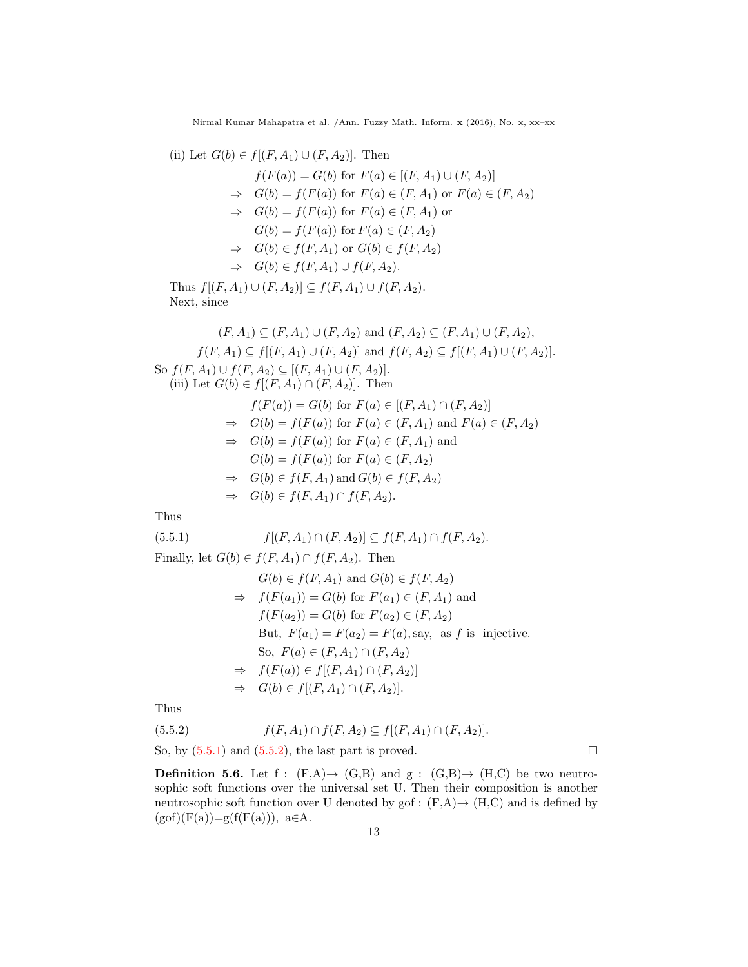(ii) Let  $G(b) \in f[(F, A_1) \cup (F, A_2)]$ . Then

$$
f(F(a)) = G(b) \text{ for } F(a) \in [(F, A_1) \cup (F, A_2)]
$$
  
\n
$$
\Rightarrow G(b) = f(F(a)) \text{ for } F(a) \in (F, A_1) \text{ or } F(a) \in (F, A_2)
$$
  
\n
$$
\Rightarrow G(b) = f(F(a)) \text{ for } F(a) \in (F, A_1) \text{ or }
$$
  
\n
$$
G(b) = f(F(a)) \text{ for } F(a) \in (F, A_2)
$$
  
\n
$$
\Rightarrow G(b) \in f(F, A_1) \text{ or } G(b) \in f(F, A_2)
$$
  
\n
$$
\Rightarrow G(b) \in f(F, A_1) \cup f(F, A_2).
$$

Thus  $f[(F, A_1) \cup (F, A_2)] \subseteq f(F, A_1) \cup f(F, A_2)$ . Next, since

$$
(F, A_1) \subseteq (F, A_1) \cup (F, A_2) \text{ and } (F, A_2) \subseteq (F, A_1) \cup (F, A_2),
$$
  
\n
$$
f(F, A_1) \subseteq f[(F, A_1) \cup (F, A_2)] \text{ and } f(F, A_2) \subseteq f[(F, A_1) \cup (F, A_2)].
$$
  
\nSo  $f(F, A_1) \cup f(F, A_2) \subseteq [(F, A_1) \cup (F, A_2)].$   
\n(iii) Let  $G(b) \in f[(F, A_1) \cap (F, A_2)].$  Then  
\n
$$
f(F(a)) = G(b) \text{ for } F(a) \in [(F, A_1) \cap (F, A_2)]
$$
  
\n
$$
\Rightarrow G(b) = f(F(a)) \text{ for } F(a) \in (F, A_1) \text{ and } F(a) \in (F, A_2)
$$
  
\n
$$
\Rightarrow G(b) = f(F(a)) \text{ for } F(a) \in (F, A_2)
$$
  
\n
$$
\Rightarrow G(b) \in f(F, A_1) \text{ and } G(b) \in f(F, A_2)
$$
  
\n
$$
\Rightarrow G(b) \in f(F, A_1) \cap f(F, A_2).
$$

Thus

(5.5.1) 
$$
f[(F, A_1) \cap (F, A_2)] \subseteq f(F, A_1) \cap f(F, A_2)
$$
.  
Finally, let  $G(b) \in f(F, A_1) \cap f(F, A_2)$ . Then

$$
G(b) \in f(F, A_1) \text{ and } G(b) \in f(F, A_2)
$$
  
\n
$$
\Rightarrow f(F(a_1)) = G(b) \text{ for } F(a_1) \in (F, A_1) \text{ and}
$$
  
\n
$$
f(F(a_2)) = G(b) \text{ for } F(a_2) \in (F, A_2)
$$
  
\nBut, 
$$
F(a_1) = F(a_2) = F(a), \text{say}, \text{ as } f \text{ is injective.}
$$
  
\nSo, 
$$
F(a) \in (F, A_1) \cap (F, A_2)
$$
  
\n
$$
\Rightarrow f(F(a)) \in f[(F, A_1) \cap (F, A_2)]
$$
  
\n
$$
\Rightarrow G(b) \in f[(F, A_1) \cap (F, A_2)].
$$

Thus

$$
(5.5.2) \t f(F, A_1) \cap f(F, A_2) \subseteq f[(F, A_1) \cap (F, A_2)].
$$

So, by  $(5.5.1)$  and  $(5.5.2)$ , the last part is proved.

**Definition 5.6.** Let f :  $(F,A) \rightarrow (G,B)$  and  $g$  :  $(G,B) \rightarrow (H,C)$  be two neutrosophic soft functions over the universal set U. Then their composition is another neutrosophic soft function over U denoted by gof :  $(F,A) \rightarrow (H,C)$  and is defined by  $(gof)(F(a))=g(f(F(a))), a\in A.$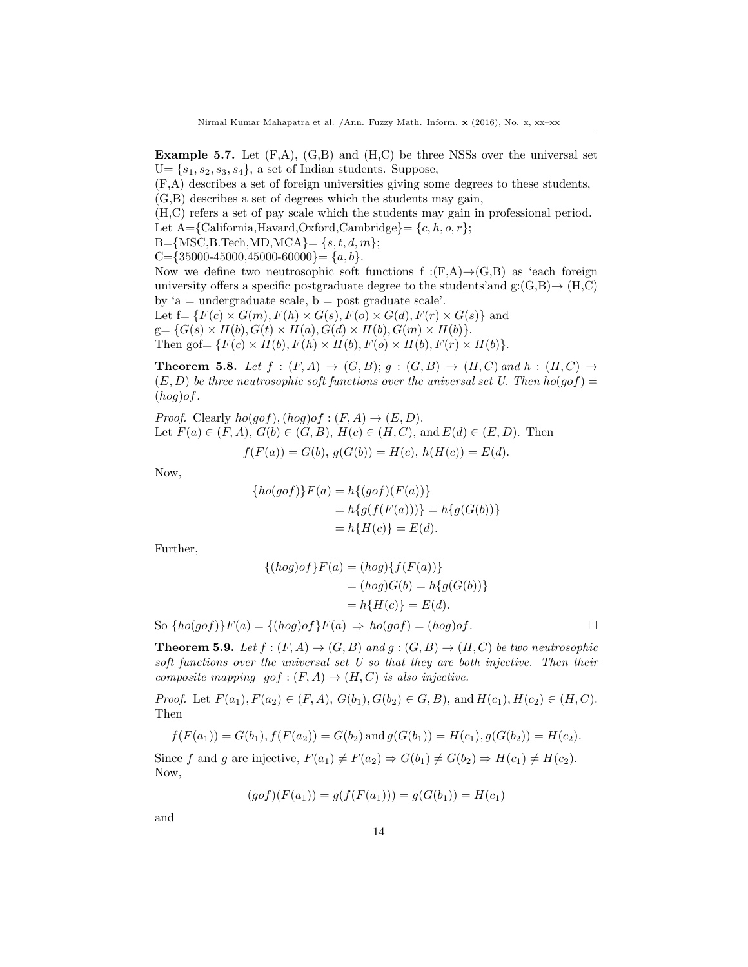**Example 5.7.** Let  $(F,A)$ ,  $(G,B)$  and  $(H,C)$  be three NSSs over the universal set  $U = \{s_1, s_2, s_3, s_4\},\$ a set of Indian students. Suppose,

(F,A) describes a set of foreign universities giving some degrees to these students,

(G,B) describes a set of degrees which the students may gain,

(H,C) refers a set of pay scale which the students may gain in professional period.

Let  $A = \{California, Harvard, Oxford, Cambridge\} = \{c, h, o, r\};$ 

 $B=\{MSC, B. Tech, MD, MCA\} = \{s, t, d, m\};$ 

 $C=\{35000-45000, 45000-60000\}=\{a, b\}.$ 

Now we define two neutrosophic soft functions f :(F,A) $\rightarrow$ (G,B) as 'each foreign university offers a specific postgraduate degree to the students' and  $g: (G,B) \rightarrow (H,C)$ by ' $a =$  undergraduate scale,  $b =$  post graduate scale'.

Let  $f = \{F(c) \times G(m), F(h) \times G(s), F(o) \times G(d), F(r) \times G(s)\}\$ and  $g = \{G(s) \times H(b), G(t) \times H(a), G(d) \times H(b), G(m) \times H(b)\}.$ Then gof  $= \{F(c) \times H(b), F(h) \times H(b), F(o) \times H(b), F(r) \times H(b)\}.$ 

**Theorem 5.8.** Let  $f : (F, A) \rightarrow (G, B); g : (G, B) \rightarrow (H, C)$  and  $h : (H, C) \rightarrow$  $(E, D)$  be three neutrosophic soft functions over the universal set U. Then  $ho(g \circ f)$  =  $(hog) of.$ 

*Proof.* Clearly  $ho(qof)$ ,  $(hog)of : (F, A) \rightarrow (E, D)$ . Let  $F(a) \in (F, A), G(b) \in (G, B), H(c) \in (H, C), \text{ and } E(d) \in (E, D).$  Then  $f(F(a)) = G(b), g(G(b)) = H(c), h(H(c)) = E(d).$ 

Now,

$$
\{ho(gof)\}F(a) = h\{(gof)(F(a))\}
$$
  
=  $h\{g(f(F(a)))\} = h\{g(G(b))\}$   
=  $h\{H(c)\} = E(d).$ 

Further,

$$
\{(hog)of\}F(a) = (hog)\{f(F(a))\}
$$

$$
= (hog)G(b) = h\{g(G(b))\}
$$

$$
= h\{H(c)\} = E(d).
$$

So  $\{ho(gof)\}F(a) = \{ (hog) \in F(a) \Rightarrow \rho(gof) = (hog) \in F(a) \}$ 

**Theorem 5.9.** Let  $f : (F, A) \to (G, B)$  and  $g : (G, B) \to (H, C)$  be two neutrosophic soft functions over the universal set  $U$  so that they are both injective. Then their composite mapping  $gof:(F,A)\to (H,C)$  is also injective.

*Proof.* Let  $F(a_1), F(a_2) \in (F, A), G(b_1), G(b_2) \in G, B)$ , and  $H(c_1), H(c_2) \in (H, C)$ . Then

$$
f(F(a_1)) = G(b_1), f(F(a_2)) = G(b_2) \text{ and } g(G(b_1)) = H(c_1), g(G(b_2)) = H(c_2).
$$

Since f and g are injective,  $F(a_1) \neq F(a_2) \Rightarrow G(b_1) \neq G(b_2) \Rightarrow H(c_1) \neq H(c_2)$ . Now,

$$
(gof)(F(a_1)) = g(f(F(a_1))) = g(G(b_1)) = H(c_1)
$$

and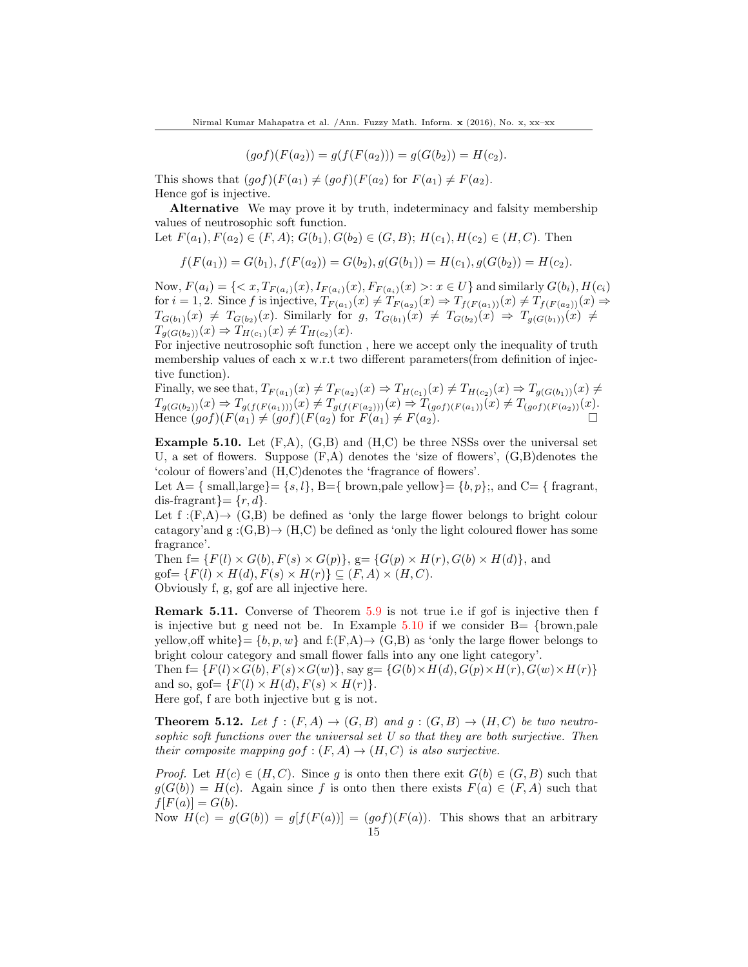$$
(gof)(F(a_2)) = g(f(F(a_2))) = g(G(b_2)) = H(c_2).
$$

This shows that  $(gof)(F(a_1) \neq (gof)(F(a_2)$  for  $F(a_1) \neq F(a_2)$ . Hence gof is injective.

Alternative We may prove it by truth, indeterminacy and falsity membership values of neutrosophic soft function.

Let 
$$
F(a_1), F(a_2) \in (F, A); G(b_1), G(b_2) \in (G, B); H(c_1), H(c_2) \in (H, C)
$$
. Then

$$
f(F(a_1)) = G(b_1), f(F(a_2)) = G(b_2), g(G(b_1)) = H(c_1), g(G(b_2)) = H(c_2).
$$

Now,  $F(a_i) = \{ \langle x, T_{F(a_i)}(x), I_{F(a_i)}(x), F_{F(a_i)}(x) \rangle : x \in U \}$  and similarly  $G(b_i), H(c_i)$ for  $i = 1, 2$ . Since f is injective,  $T_{F(a_1)}(x) \neq T_{F(a_2)}(x) \Rightarrow T_{f(F(a_1))}(x) \neq T_{f(F(a_2))}(x) \Rightarrow$  $T_{G(b_1)}(x) \neq T_{G(b_2)}(x)$ . Similarly for  $g, T_{G(b_1)}(x) \neq T_{G(b_2)}(x) \Rightarrow T_{g(G(b_1))}(x) \neq$  $T_{q(G(b_2))}(x) \Rightarrow T_{H(c_1)}(x) \neq T_{H(c_2)}(x).$ 

For injective neutrosophic soft function , here we accept only the inequality of truth membership values of each x w.r.t two different parameters(from definition of injective function).

Finally, we see that,  $T_{F(a_1)}(x) \neq T_{F(a_2)}(x) \Rightarrow T_{H(c_1)}(x) \neq T_{H(c_2)}(x) \Rightarrow T_{g(G(b_1))}(x) \neq$  $T_{g(G(b_2))}(x) \Rightarrow T_{g(f(F(a_1)))}(x) \neq T_{g(f(F(a_2)))}(x) \Rightarrow T_{(g \circ f)(F(a_1))}(x) \neq T_{(g \circ f)(F(a_2))}(x).$ Hence  $(gof)(F(a_1) \neq (gof)(F(a_2) \text{ for } F(a_1) \neq F(a_2).$ 

**Example 5.10.** Let  $(F,A)$ ,  $(G,B)$  and  $(H,C)$  be three NSSs over the universal set U, a set of flowers. Suppose  $(F, A)$  denotes the 'size of flowers',  $(G, B)$ denotes the 'colour of flowers'and (H,C)denotes the 'fragrance of flowers'.

Let  $A=\{\text{ small, large}\}=\{s, l\}, B=\{\text{ brown, pale yellow}\}=\{b, p\};$ , and  $C=\{\text{ fragment},$ dis-fragrant $=\{r, d\}.$ 

Let  $f:(F,A)\rightarrow (G,B)$  be defined as 'only the large flower belongs to bright colour catagory'and g : $(G,B) \rightarrow (H,C)$  be defined as 'only the light coloured flower has some fragrance'.

Then  $f = \{F(l) \times G(b), F(s) \times G(p)\}\$ ,  $g = \{G(p) \times H(r), G(b) \times H(d)\}\$ , and  $gof = \{F(l) \times H(d), F(s) \times H(r)\} \subseteq (F, A) \times (H, C).$ Obviously f, g, gof are all injective here.

Remark 5.11. Converse of Theorem 5.9 is not true i.e if gof is injective then f is injective but g need not be. In Example 5.10 if we consider  $B = \{brown, p$ ale yellow, off white  $\} = \{b, p, w\}$  and  $f:(F,A) \rightarrow (G,B)$  as 'only the large flower belongs to bright colour category and small flower falls into any one light category'.

Then  $f = \{F(l) \times G(b), F(s) \times G(w)\}\$ , say  $g = \{G(b) \times H(d), G(p) \times H(r), G(w) \times H(r)\}\$ and so, gof =  $\{F(l) \times H(d), F(s) \times H(r)\}.$ Here gof, f are both injective but g is not.

**Theorem 5.12.** Let  $f : (F, A) \rightarrow (G, B)$  and  $g : (G, B) \rightarrow (H, C)$  be two neutrosophic soft functions over the universal set U so that they are both surjective. Then their composite mapping gof :  $(F, A) \rightarrow (H, C)$  is also surjective.

*Proof.* Let  $H(c) \in (H, C)$ . Since q is onto then there exit  $G(b) \in (G, B)$  such that  $g(G(b)) = H(c)$ . Again since f is onto then there exists  $F(a) \in (F, A)$  such that  $f[F(a)] = G(b).$ 

Now  $H(c) = g(G(b)) = g[f(F(a))] = (gof)(F(a))$ . This shows that an arbitrary 15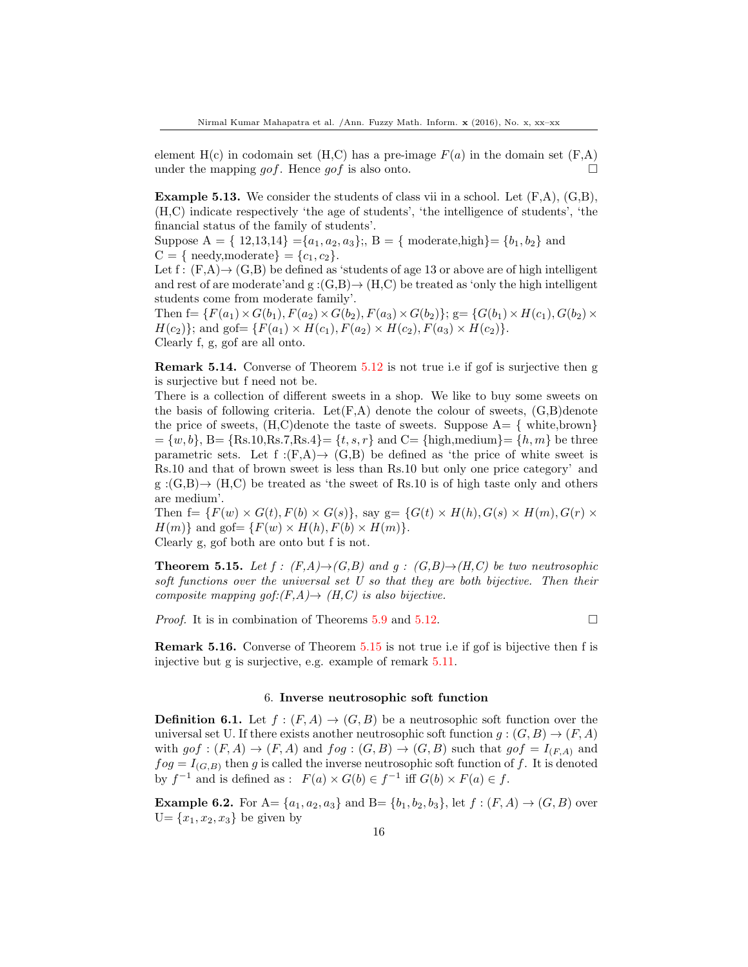element  $H(c)$  in codomain set  $(H, C)$  has a pre-image  $F(a)$  in the domain set  $(F, A)$ under the mapping *gof*. Hence *gof* is also onto.

**Example 5.13.** We consider the students of class vii in a school. Let  $(F.A)$ ,  $(G.B)$ , (H,C) indicate respectively 'the age of students', 'the intelligence of students', 'the financial status of the family of students'.

Suppose  $A = \{ 12, 13, 14 \} = \{a_1, a_2, a_3\};$ ,  $B = \{$  moderate,high $\} = \{b_1, b_2\}$  and  $C = \{$  needy, moderate  $\} = \{c_1, c_2\}.$ 

Let f:  $(F,A) \rightarrow (G,B)$  be defined as 'students of age 13 or above are of high intelligent and rest of are moderate'and g : $(G,B) \rightarrow (H,C)$  be treated as 'only the high intelligent students come from moderate family'.

Then  $f = \{F(a_1) \times G(b_1), F(a_2) \times G(b_2), F(a_3) \times G(b_2)\};$   $g = \{G(b_1) \times H(c_1), G(b_2) \times G(b_3)\}$  $H(c_2)$ ; and gof=  $\{F(a_1) \times H(c_1), F(a_2) \times H(c_2), F(a_3) \times H(c_2)\}.$ Clearly f, g, gof are all onto.

Remark 5.14. Converse of Theorem 5.12 is not true i.e if gof is surjective then g is surjective but f need not be.

There is a collection of different sweets in a shop. We like to buy some sweets on the basis of following criteria. Let  $(F, A)$  denote the colour of sweets,  $(G, B)$  denote the price of sweets,  $(H, C)$  denote the taste of sweets. Suppose  $A = \{$  white, brown  $=\{w, b\}, B=\{Rs.10, Rs.7, Rs.4\} = \{t, s, r\}$  and  $C=\{\text{high,medium}\} = \{h, m\}$  be three parametric sets. Let  $f:(F,A) \rightarrow (G,B)$  be defined as 'the price of white sweet is Rs.10 and that of brown sweet is less than Rs.10 but only one price category' and  $g:(G,B)\rightarrow (H,C)$  be treated as 'the sweet of Rs.10 is of high taste only and others are medium'.

Then  $f = \{F(w) \times G(t), F(b) \times G(s)\}\$ , say  $g = \{G(t) \times H(h), G(s) \times H(m), G(r) \times G(s)\}\$  $H(m)$  and gof  $= \{F(w) \times H(h), F(b) \times H(m)\}.$ Clearly g, gof both are onto but f is not.

**Theorem 5.15.** Let  $f : (F,A) \rightarrow (G,B)$  and  $g : (G,B) \rightarrow (H,C)$  be two neutrosophic soft functions over the universal set  $U$  so that they are both bijective. Then their composite mapping gof: $(F,A) \rightarrow (H,C)$  is also bijective.

*Proof.* It is in combination of Theorems 5.9 and 5.12.

Remark 5.16. Converse of Theorem 5.15 is not true i.e if gof is bijective then f is injective but g is surjective, e.g. example of remark 5.11.

#### 6. Inverse neutrosophic soft function

**Definition 6.1.** Let  $f : (F, A) \to (G, B)$  be a neutrosophic soft function over the universal set U. If there exists another neutrosophic soft function  $g:(G, B) \to (F, A)$ with  $g \circ f : (F, A) \to (F, A)$  and  $f \circ g : (G, B) \to (G, B)$  such that  $g \circ f = I_{(F,A)}$  and  $f \circ g = I_{(G,B)}$  then g is called the inverse neutrosophic soft function of f. It is denoted by  $f^{-1}$  and is defined as :  $F(a) \times G(b) \in f^{-1}$  iff  $G(b) \times F(a) \in f$ .

**Example 6.2.** For  $A = \{a_1, a_2, a_3\}$  and  $B = \{b_1, b_2, b_3\}$ , let  $f : (F, A) \rightarrow (G, B)$  over  $U = \{x_1, x_2, x_3\}$  be given by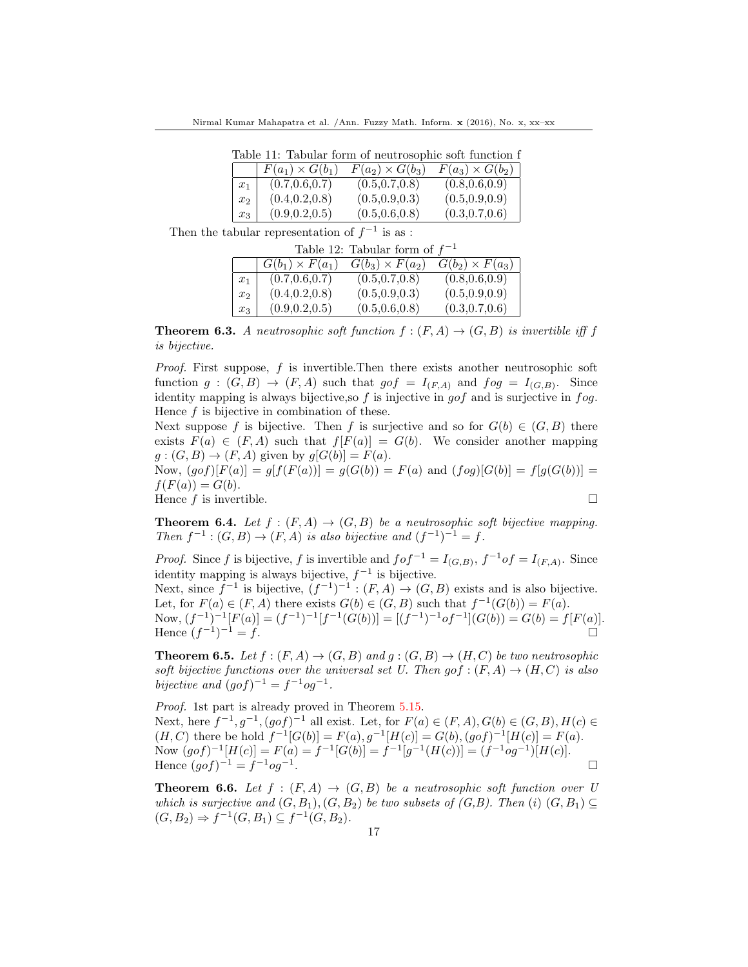Nirmal Kumar Mahapatra et al. /Ann. Fuzzy Math. Inform. x (2016), No. x, xx–xx

| Table 11: Tabular form of neutrosophic soft function f |                        |                        |                        |  |  |
|--------------------------------------------------------|------------------------|------------------------|------------------------|--|--|
|                                                        | $F(a_1) \times G(b_1)$ | $F(a_2) \times G(b_3)$ | $F(a_3) \times G(b_2)$ |  |  |
| $x_1$                                                  | (0.7, 0.6, 0.7)        | (0.5, 0.7, 0.8)        | (0.8, 0.6, 0.9)        |  |  |
| $x_2$                                                  | (0.4, 0.2, 0.8)        | (0.5, 0.9, 0.3)        | (0.5, 0.9, 0.9)        |  |  |
| $x_3$                                                  | (0.9, 0.2, 0.5)        | (0.5, 0.6, 0.8)        | (0.3, 0.7, 0.6)        |  |  |

Then the tabular representation of  $f^{-1}$  is as :

| Table 12: Tabular form of $f^{-1}$ |                        |                        |                        |  |
|------------------------------------|------------------------|------------------------|------------------------|--|
|                                    | $G(b_1) \times F(a_1)$ | $G(b_3) \times F(a_2)$ | $G(b_2) \times F(a_3)$ |  |
| $x_1$                              | (0.7, 0.6, 0.7)        | (0.5, 0.7, 0.8)        | (0.8, 0.6, 0.9)        |  |
| $x_2$                              | (0.4, 0.2, 0.8)        | (0.5, 0.9, 0.3)        | (0.5, 0.9, 0.9)        |  |
| $x_3$                              | (0.9, 0.2, 0.5)        | (0.5, 0.6, 0.8)        | (0.3, 0.7, 0.6)        |  |

**Theorem 6.3.** A neutrosophic soft function  $f:(F, A) \rightarrow (G, B)$  is invertible iff f is bijective.

*Proof.* First suppose,  $f$  is invertible. Then there exists another neutrosophic soft function  $g:(G, B) \to (F, A)$  such that  $g \circ f = I_{(F, A)}$  and  $f \circ g = I_{(G, B)}$ . Since identity mapping is always bijective, so  $f$  is injective in gof and is surjective in  $f \circ g$ . Hence f is bijective in combination of these.

Next suppose f is bijective. Then f is surjective and so for  $G(b) \in (G, B)$  there exists  $F(a) \in (F, A)$  such that  $f[F(a)] = G(b)$ . We consider another mapping  $g:(G, B) \to (F, A)$  given by  $g[G(b)] = F(a)$ .

Now,  $(gof)[F(a)] = g[f(F(a))] = g(G(b)) = F(a)$  and  $(fog)[G(b)] = f[g(G(b))] =$  $f(F(a)) = G(b).$ Hence  $f$  is invertible.

**Theorem 6.4.** Let  $f : (F, A) \rightarrow (G, B)$  be a neutrosophic soft bijective mapping. Then  $f^{-1}$ :  $(G, B) \rightarrow (F, A)$  is also bijective and  $(f^{-1})^{-1} = f$ .

*Proof.* Since f is bijective, f is invertible and  $f \circ f^{-1} = I_{(G,B)},$   $f^{-1} \circ f = I_{(F,A)}$ . Since identity mapping is always bijective,  $f^{-1}$  is bijective.

Next, since  $f^{-1}$  is bijective,  $(f^{-1})^{-1} : (F, A) \to (G, B)$  exists and is also bijective. Let, for  $F(a) \in (F, A)$  there exists  $G(b) \in (G, B)$  such that  $f^{-1}(G(b)) = F(a)$ . Now,  $(f^{-1})^{-1}[F(a)] = (f^{-1})^{-1}[f^{-1}(G(b))] = [(f^{-1})^{-1}of^{-1}](G(b)) = G(b) = f[F(a)].$ Hence  $(f^{-1})$  $-1 = f.$ 

**Theorem 6.5.** Let  $f : (F, A) \rightarrow (G, B)$  and  $g : (G, B) \rightarrow (H, C)$  be two neutrosophic soft bijective functions over the universal set U. Then  $g \circ f : (F, A) \to (H, C)$  is also bijective and  $(gof)^{-1} = f^{-1}og^{-1}$ .

Proof. 1st part is already proved in Theorem 5.15. Next, here  $f^{-1}, g^{-1}, (g \circ f)^{-1}$  all exist. Let, for  $F(a) \in (F, A), G(b) \in (G, B), H(c) \in$  $(H, C)$  there be hold  $f^{-1}[G(b)] = F(a), g^{-1}[H(c)] = G(b), (g \circ f)^{-1}[H(c)] = F(a).$ Now  $(gof)^{-1}[H(c)] = F(a) = f^{-1}[G(b)] = f^{-1}[g^{-1}(H(c))] = (f^{-1}og^{-1})[H(c)].$ Hence  $(gof)^{-1} = f^{-1}og^{-1}$ .

**Theorem 6.6.** Let  $f : (F, A) \rightarrow (G, B)$  be a neutrosophic soft function over U which is surjective and  $(G, B_1), (G, B_2)$  be two subsets of  $(G, B)$ . Then  $(i)$   $(G, B_1) \subseteq$  $(G, B_2) \Rightarrow f^{-1}(G, B_1) \subseteq f^{-1}(G, B_2).$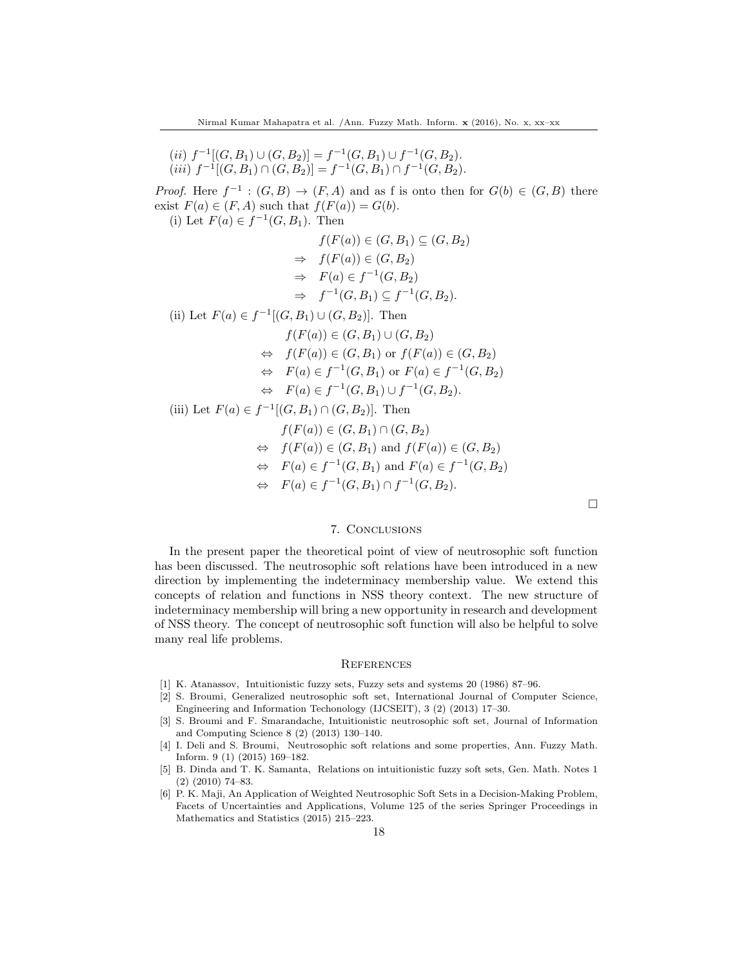(ii)  $f^{-1}[(G, B_1) \cup (G, B_2)] = f^{-1}(G, B_1) \cup f^{-1}(G, B_2).$  $(iii) f^{-1}[(G, B_1) \cap (G, B_2)] = f^{-1}(G, B_1) \cap f^{-1}(G, B_2).$ 

*Proof.* Here  $f^{-1}$ :  $(G, B) \rightarrow (F, A)$  and as f is onto then for  $G(b) \in (G, B)$  there exist  $F(a) \in (F, A)$  such that  $f(F(a)) = G(b)$ .

(i) Let  $F(a) \in f^{-1}(G, B_1)$ . Then

$$
f(F(a)) \in (G, B_1) \subseteq (G, B_2)
$$
  
\n
$$
\Rightarrow f(F(a)) \in (G, B_2)
$$
  
\n
$$
\Rightarrow F(a) \in f^{-1}(G, B_2)
$$
  
\n
$$
\Rightarrow f^{-1}(G, B_1) \subseteq f^{-1}(G, B_2).
$$
  
\n(ii) Let  $F(a) \in f^{-1}[(G, B_1) \cup (G, B_2)]$ . Then  
\n
$$
f(F(a)) \in (G, B_1) \cup (G, B_2)
$$

$$
\Leftrightarrow f(F(a)) \in (G, B_1) \text{ or } f(F(a)) \in (G, B_2)
$$

$$
\Leftrightarrow \quad F(a) \in f^{-1}(G, B_1) \text{ or } F(a) \in f^{-1}(G, B_2)
$$

$$
\Leftrightarrow \quad F(a) \in f^{-1}(G, B_1) \cup f^{-1}(G, B_2).
$$

(iii) Let  $F(a) \in f^{-1}[(G, B_1) \cap (G, B_2)]$ . Then

$$
f(F(a)) \in (G, B_1) \cap (G, B_2)
$$
  
\n
$$
\Leftrightarrow f(F(a)) \in (G, B_1) \text{ and } f(F(a)) \in (G, B_2)
$$
  
\n
$$
\Leftrightarrow F(a) \in f^{-1}(G, B_1) \text{ and } F(a) \in f^{-1}(G, B_2)
$$
  
\n
$$
\Leftrightarrow F(a) \in f^{-1}(G, B_1) \cap f^{-1}(G, B_2).
$$

 $\Box$ 

# 7. Conclusions

In the present paper the theoretical point of view of neutrosophic soft function has been discussed. The neutrosophic soft relations have been introduced in a new direction by implementing the indeterminacy membership value. We extend this concepts of relation and functions in NSS theory context. The new structure of indeterminacy membership will bring a new opportunity in research and development of NSS theory. The concept of neutrosophic soft function will also be helpful to solve many real life problems.

#### **REFERENCES**

- [1] K. Atanassov, Intuitionistic fuzzy sets, Fuzzy sets and systems 20 (1986) 87–96.
- [2] S. Broumi, Generalized neutrosophic soft set, International Journal of Computer Science, Engineering and Information Techonology (IJCSEIT), 3 (2) (2013) 17–30.
- [3] S. Broumi and F. Smarandache, Intuitionistic neutrosophic soft set, Journal of Information and Computing Science 8 (2) (2013) 130–140.
- [4] I. Deli and S. Broumi, Neutrosophic soft relations and some properties, Ann. Fuzzy Math. Inform. 9 (1) (2015) 169–182.
- [5] B. Dinda and T. K. Samanta, Relations on intuitionistic fuzzy soft sets, Gen. Math. Notes 1 (2) (2010) 74–83.
- [6] P. K. Maji, An Application of Weighted Neutrosophic Soft Sets in a Decision-Making Problem, Facets of Uncertainties and Applications, Volume 125 of the series Springer Proceedings in Mathematics and Statistics (2015) 215–223.